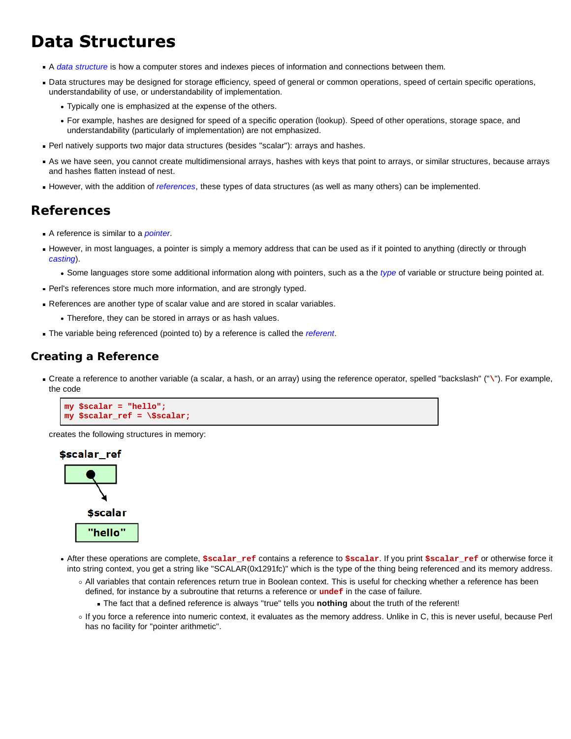# **Data Structures**

- A *data structure* is how a computer stores and indexes pieces of information and connections between them.
- Data structures may be designed for storage efficiency, speed of general or common operations, speed of certain specific operations, understandability of use, or understandability of implementation.
	- Typically one is emphasized at the expense of the others.
	- For example, hashes are designed for speed of a specific operation (lookup). Speed of other operations, storage space, and understandability (particularly of implementation) are not emphasized.
- Perl natively supports two major data structures (besides "scalar"): arrays and hashes.
- As we have seen, you cannot create multidimensional arrays, hashes with keys that point to arrays, or similar structures, because arrays and hashes flatten instead of nest.
- However, with the addition of *references*, these types of data structures (as well as many others) can be implemented.

## **References**

- A reference is similar to a *pointer*.
- However, in most languages, a pointer is simply a memory address that can be used as if it pointed to anything (directly or through *casting*).
	- Some languages store some additional information along with pointers, such as a the *type* of variable or structure being pointed at.
- Perl's references store much more information, and are strongly typed.
- References are another type of scalar value and are stored in scalar variables.
	- Therefore, they can be stored in arrays or as hash values.
- The variable being referenced (pointed to) by a reference is called the *referent*.

### **Creating a Reference**

Create a reference to another variable (a scalar, a hash, or an array) using the reference operator, spelled "backslash" ("**\**"). For example, the code

```
my $scalar = "hello";
my $scalar_ref = \$scalar;
```
creates the following structures in memory:



- After these operations are complete, **\$scalar\_ref** contains a reference to **\$scalar**. If you print **\$scalar\_ref** or otherwise force it into string context, you get a string like "SCALAR(0x1291fc)" which is the type of the thing being referenced and its memory address.
	- All variables that contain references return true in Boolean context. This is useful for checking whether a reference has been defined, for instance by a subroutine that returns a reference or **undef** in the case of failure.
		- The fact that a defined reference is always "true" tells you **nothing** about the truth of the referent!
	- If you force a reference into numeric context, it evaluates as the memory address. Unlike in C, this is never useful, because Perl has no facility for "pointer arithmetic".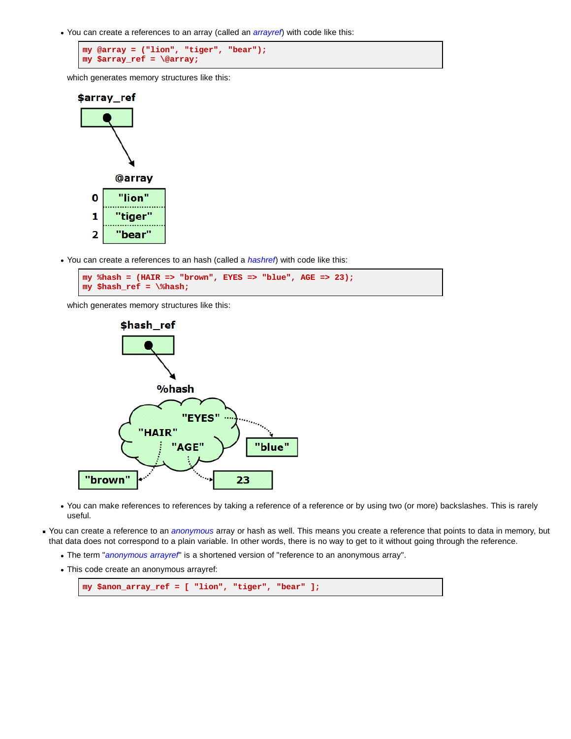You can create a references to an array (called an *arrayref*) with code like this:

```
my @array = ("lion", "tiger", "bear");
my $array_ref = \@array;
```
which generates memory structures like this:



You can create a references to an hash (called a *hashref*) with code like this:



which generates memory structures like this:



- You can make references to references by taking a reference of a reference or by using two (or more) backslashes. This is rarely useful.
- You can create a reference to an *anonymous* array or hash as well. This means you create a reference that points to data in memory, but that data does not correspond to a plain variable. In other words, there is no way to get to it without going through the reference.
	- The term "*anonymous arrayref*" is a shortened version of "reference to an anonymous array".
	- This code create an anonymous arrayref:

```
my $anon_array_ref = [ "lion", "tiger", "bear" ];
```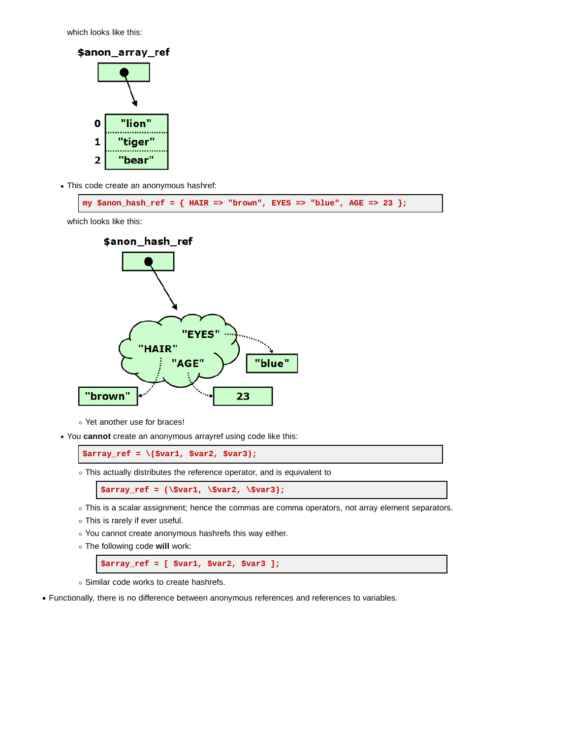which looks like this:



This code create an anonymous hashref:

**my \$anon\_hash\_ref = { HAIR => "brown", EYES => "blue", AGE => 23 };**

which looks like this:



- Yet another use for braces!
- You **cannot** create an anonymous arrayref using code like this:

**\$array\_ref = \(\$var1, \$var2, \$var3);**

This actually distributes the reference operator, and is equivalent to

**\$array\_ref = (\\$var1, \\$var2, \\$var3);**

- This is a scalar assignment; hence the commas are comma operators, not array element separators.
- This is rarely if ever useful.
- You cannot create anonymous hashrefs this way either.
- The following code **will** work:

**\$array\_ref = [ \$var1, \$var2, \$var3 ];**

- Similar code works to create hashrefs.
- Functionally, there is no difference between anonymous references and references to variables.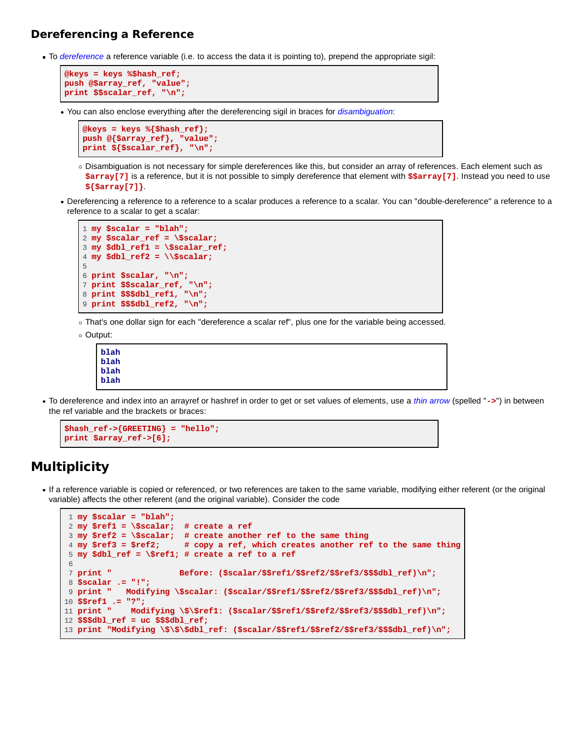#### **Dereferencing a Reference**

To *dereference* a reference variable (i.e. to access the data it is pointing to), prepend the appropriate sigil:

```
@keys = keys %$hash_ref;
push @$array_ref, "value";
print $$scalar_ref, "\n";
```
You can also enclose everything after the dereferencing sigil in braces for *disambiguation*:

```
@keys = keys %{$hash_ref};
push @{$array_ref}, "value";
print ${$scalar_ref}, "\n";
```
- Disambiguation is not necessary for simple dereferences like this, but consider an array of references. Each element such as **\$array[7]** is a reference, but it is not possible to simply dereference that element with **\$\$array[7]**. Instead you need to use **\${\$array[7]}**.
- Dereferencing a reference to a reference to a scalar produces a reference to a scalar. You can "double-dereference" a reference to a reference to a scalar to get a scalar:

```
1 my $scalar = "blah";
2 my $scalar_ref = \$scalar;
3 my $dbl_ref1 = \$scalar_ref;
4 my $dbl_ref2 = \\$scalar;
5
6 print $scalar, "\n";
7 print $$scalar_ref, "\n";
8 print $$$dbl_ref1, "\n";
9 print $$$dbl_ref2, "\n";
```
- That's one dollar sign for each "dereference a scalar ref", plus one for the variable being accessed.
- Output:

```
blah
blah
blah
blah
```
To dereference and index into an arrayref or hashref in order to get or set values of elements, use a *thin arrow* (spelled "**->**") in between the ref variable and the brackets or braces:

```
$hash_ref->{GREETING} = "hello";
print $array_ref->[6];
```
## **Multiplicity**

If a reference variable is copied or referenced, or two references are taken to the same variable, modifying either referent (or the original variable) affects the other referent (and the original variable). Consider the code

```
 1 my $scalar = "blah";
 2 my $ref1 = \$scalar; # create a ref
 3 my $ref2 = \$scalar; # create another ref to the same thing
                        # copy a ref, which creates another ref to the same thing
 5 my $dbl_ref = \$ref1; # create a ref to a ref
 6
 7 print " Before: ($scalar/$$ref1/$$ref2/$$ref3/$$$dbl_ref)\n";
 8 $scalar .= "!";
 9 print " Modifying \$scalar: ($scalar/$$ref1/$$ref2/$$ref3/$$$dbl_ref)\n";
10 $$ref1 .= "?";
11 print " Modifying \$\$ref1: ($scalar/$$ref1/$$ref2/$$ref3/$$$dbl_ref)\n";
12 $$$dbl_ref = uc $$$dbl_ref;
13 print "Modifying \$\$\$dbl_ref: ($scalar/$$ref1/$$ref2/$$ref3/$$$dbl_ref)\n";
```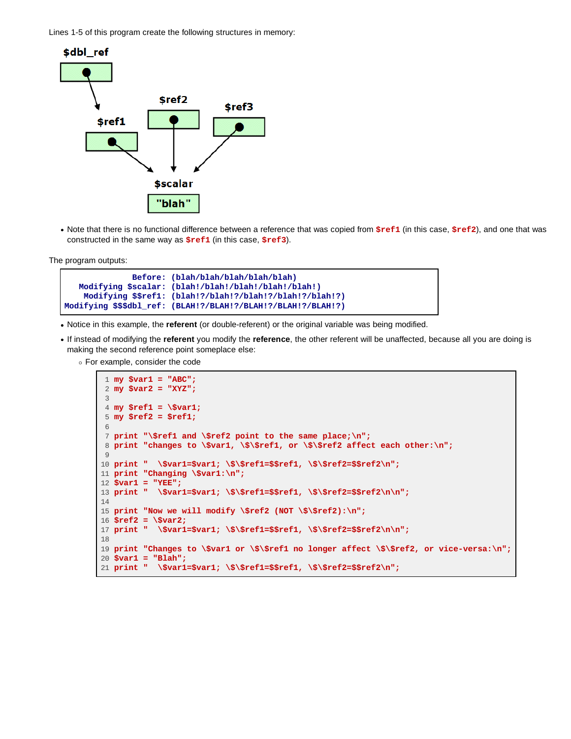Lines 1-5 of this program create the following structures in memory:



Note that there is no functional difference between a reference that was copied from **\$ref1** (in this case, **\$ref2**), and one that was constructed in the same way as **\$ref1** (in this case, **\$ref3**).

The program outputs:

```
 Before: (blah/blah/blah/blah/blah)
    Modifying $scalar: (blah!/blah!/blah!/blah!/blah!)
     Modifying $$ref1: (blah!?/blah!?/blah!?/blah!?/blah!?)
Modifying $$$dbl_ref: (BLAH!?/BLAH!?/BLAH!?/BLAH!?/BLAH!?)
```
- Notice in this example, the **referent** (or double-referent) or the original variable was being modified.
- If instead of modifying the **referent** you modify the **reference**, the other referent will be unaffected, because all you are doing is making the second reference point someplace else:

For example, consider the code

```
 1 my $var1 = "ABC";
  2 my $var2 = "XYZ";
 3
  4 my $ref1 = \$var1;
  5 my $ref2 = $ref1;
  6
  7 print "\$ref1 and \$ref2 point to the same place;\n";
  8 print "changes to \$var1, \$\$ref1, or \$\$ref2 affect each other:\n";
 Q10 print " \$var1=$var1; \$\$ref1=$$ref1, \$\$ref2=$$ref2\n";
11 print "Changing \$var1:\n";
12 $var1 = "YEE";
13 print " \$var1=$var1; \$\$ref1=$$ref1, \$\$ref2=$$ref2\n\n";
14
15 print "Now we will modify \$ref2 (NOT \$\$ref2):\n";
16 $ref2 = \$var2;
17 print " \$var1=$var1; \$\$ref1=$$ref1, \$\$ref2=$$ref2\n\n";
18
19 print "Changes to \$var1 or \$\$ref1 no longer affect \$\$ref2, or vice-versa:\n";
20 $var1 = "Blah";
21 print " \$var1=$var1; \$\$ref1=$$ref1, \$\$ref2=$$ref2\n";
```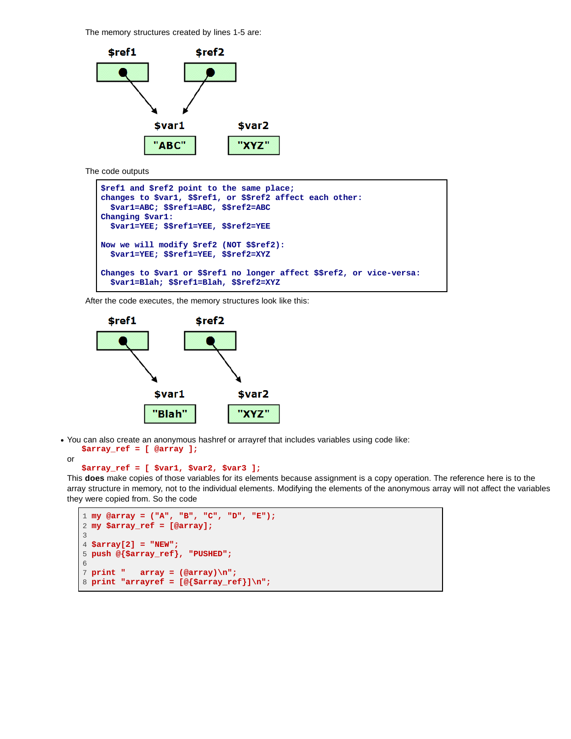The memory structures created by lines 1-5 are:



The code outputs

```
$ref1 and $ref2 point to the same place;
changes to $var1, $$ref1, or $$ref2 affect each other:
   $var1=ABC; $$ref1=ABC, $$ref2=ABC
Changing $var1:
   $var1=YEE; $$ref1=YEE, $$ref2=YEE
Now we will modify $ref2 (NOT $$ref2):
   $var1=YEE; $$ref1=YEE, $$ref2=XYZ
Changes to $var1 or $$ref1 no longer affect $$ref2, or vice-versa:
   $var1=Blah; $$ref1=Blah, $$ref2=XYZ
```
After the code executes, the memory structures look like this:



You can also create an anonymous hashref or arrayref that includes variables using code like:

```
 $array_ref = [ @array ];
```

```
or
```

```
 $array_ref = [ $var1, $var2, $var3 ];
```
This **does** make copies of those variables for its elements because assignment is a copy operation. The reference here is to the array structure in memory, not to the individual elements. Modifying the elements of the anonymous array will not affect the variables they were copied from. So the code

```
1 my @array = ("A", "B", "C", "D", "E");
2 my $array_ref = [@array];
3
4 $array[2] = "NEW";
5 push @{$array_ref}, "PUSHED";
6
7 print " array = (@array)\n";
8 print "arrayref = [@{$array_ref}]\n";
```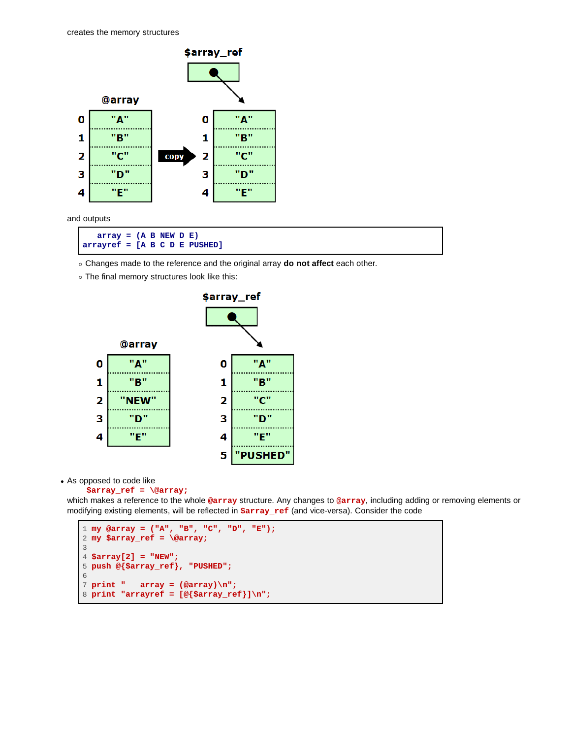

and outputs

 **array = (A B NEW D E) arrayref = [A B C D E PUSHED]**

Changes made to the reference and the original array **do not affect** each other.

The final memory structures look like this:



As opposed to code like

```
 $array_ref = \@array;
```
which makes a reference to the whole **@array** structure. Any changes to **@array**, including adding or removing elements or modifying existing elements, will be reflected in **\$array\_ref** (and vice-versa). Consider the code

```
1 my @array = ("A", "B", "C", "D", "E");
2 my $array_ref = \@array;
3
4 $array[2] = "NEW";
5 push @{$array_ref}, "PUSHED";
6
7 print " array = (@array)\n";
8 print "arrayref = [@{$array_ref}]\n";
```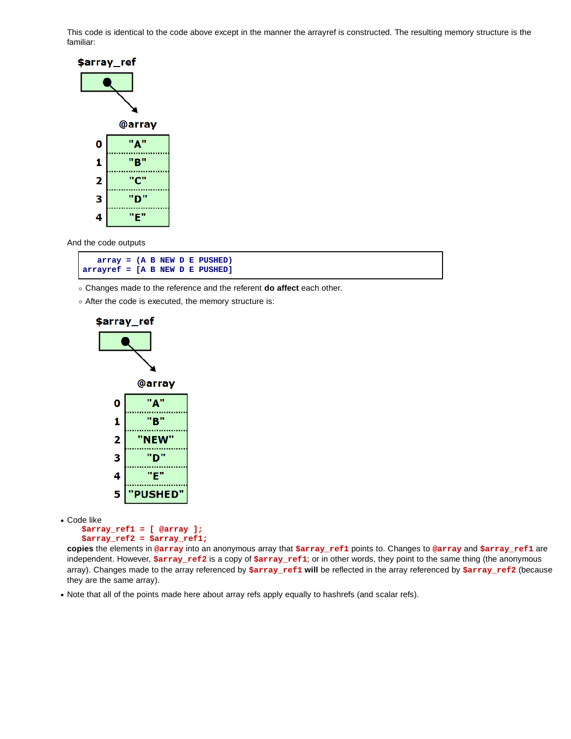This code is identical to the code above except in the manner the arrayref is constructed. The resulting memory structure is the familiar:



And the code outputs



Changes made to the reference and the referent **do affect** each other.

After the code is executed, the memory structure is:



Code like

```
 $array_ref1 = [ @array ];
 $array_ref2 = $array_ref1;
```
**copies** the elements in **@array** into an anonymous array that **\$array\_ref1** points to. Changes to **@array** and **\$array\_ref1** are independent. However, **\$array\_ref2** is a copy of **\$array\_ref1**; or in other words, they point to the same thing (the anonymous array). Changes made to the array referenced by **\$array\_ref1 will** be reflected in the array referenced by **\$array\_ref2** (because they are the same array).

Note that all of the points made here about array refs apply equally to hashrefs (and scalar refs).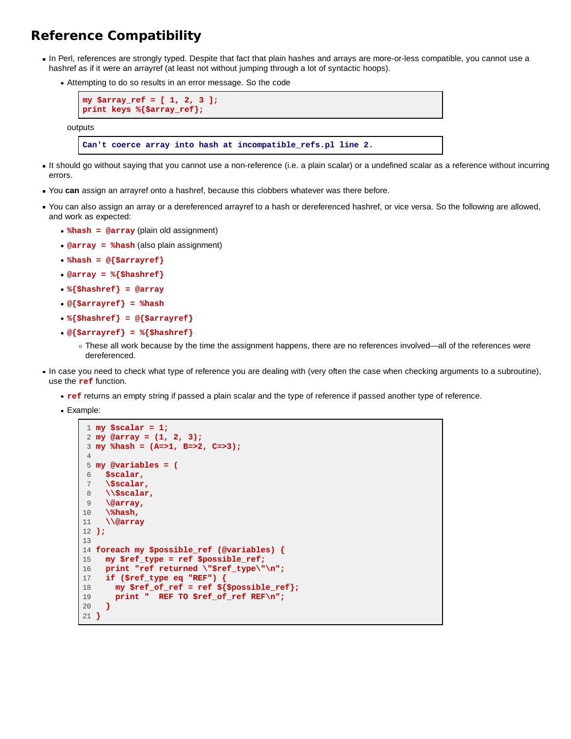## **Reference Compatibility**

- In Perl, references are strongly typed. Despite that fact that plain hashes and arrays are more-or-less compatible, you cannot use a hashref as if it were an arrayref (at least not without jumping through a lot of syntactic hoops).
	- Attempting to do so results in an error message. So the code



- It should go without saying that you cannot use a non-reference (i.e. a plain scalar) or a undefined scalar as a reference without incurring errors.
- You **can** assign an arrayref onto a hashref, because this clobbers whatever was there before.
- You can also assign an array or a dereferenced arrayref to a hash or dereferenced hashref, or vice versa. So the following are allowed, and work as expected:
	- **%hash = @array** (plain old assignment)
	- **@array = %hash** (also plain assignment)
	- **%hash = @{\$arrayref}**
	- **@array = %{\$hashref}**
	- **%{\$hashref} = @array**
	- **@{\$arrayref} = %hash**
	- **%{\$hashref} = @{\$arrayref}**
	- **@{\$arrayref} = %{\$hashref}**
		- These all work because by the time the assignment happens, there are no references involved—all of the references were dereferenced.
- In case you need to check what type of reference you are dealing with (very often the case when checking arguments to a subroutine), use the **ref** function.
	- **ref** returns an empty string if passed a plain scalar and the type of reference if passed another type of reference.
	- Example:

```
 1 my $scalar = 1;
 2 my @array = (1, 2, 3);
 3 my %hash = (A=>1, B=>2, C=>3);
 4
 5 my @variables = (
  6 $scalar,
 7 \$scalar,
 8 \\$scalar,
 9 \@array,
10 \%hash,
11 \\@array
12 );
13
14 foreach my $possible_ref (@variables) {
15 my $ref_type = ref $possible_ref;
16 print "ref returned \"$ref_type\"\n";
17 if ($ref_type eq "REF") {
18 my $ref_of_ref = ref ${$possible_ref};
19 print " REF TO $ref_of_ref REF\n";
20 }
21 }
```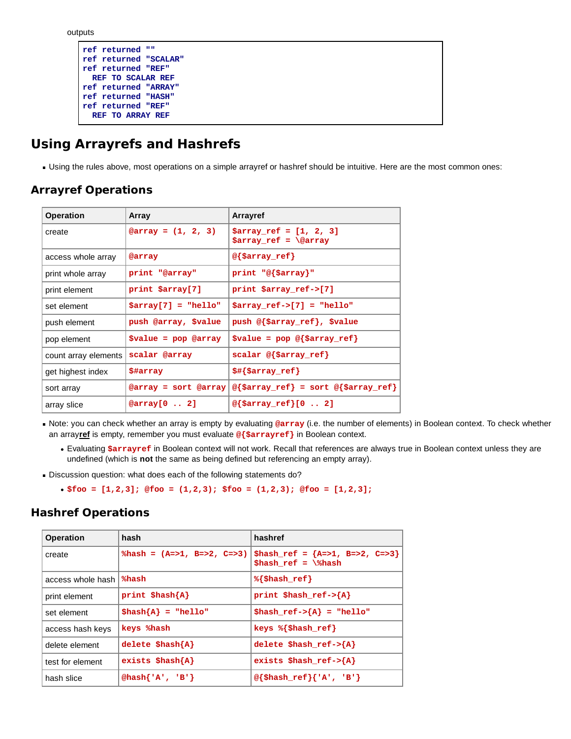outputs

```
ref returned ""
ref returned "SCALAR"
ref returned "REF"
  REF TO SCALAR REF
ref returned "ARRAY"
ref returned "HASH"
ref returned "REF"
   REF TO ARRAY REF
```
## **Using Arrayrefs and Hashrefs**

Using the rules above, most operations on a simple arrayref or hashref should be intuitive. Here are the most common ones:

### **Arrayref Operations**

| <b>Operation</b>     | Array                 | <b>Arrayref</b>                                                |
|----------------------|-----------------------|----------------------------------------------------------------|
| create               | @array = $(1, 2, 3)$  | $$array\_ref = [1, 2, 3]$<br>$$array\_ref = \sqrt{0}$          |
| access whole array   | @array                | $@{\simeq}$ $@{\simeq}$                                        |
| print whole array    | print "@array"        | print $\mathbb{P}(\text{Sarray})$ "                            |
| print element        | print \$array[7]      | print \$array_ref->[7]                                         |
| set element          | $$array[7] = "hello"$ | $$array\_ref->[7] = "hello"$                                   |
| push element         | push @array, \$value  | push @{\$array_ref}, \$value                                   |
| pop element          | $$value = pop @array$ | $\texttt{value} = \texttt{pop} \ @ \{\texttt{Sarray\_ref}\}$   |
| count array elements | scalar @array         | $scalar @ {Sarray_ref}$                                        |
| get highest index    | \$#array              | $$$ #{\$array_ref}                                             |
| sort array           | @array = sort @array  | $\mathcal{C}\$ \$array_ref} = sort $\mathcal{C}\$ \$array_ref} |
| array slice          | $@array[0 \ldots 2]$  | @{\$array_ref}[0  2]                                           |

Note: you can check whether an array is empty by evaluating **@array** (i.e. the number of elements) in Boolean context. To check whether an array**ref** is empty, remember you must evaluate **@{\$arrayref}** in Boolean context.

- Evaluating **\$arrayref** in Boolean context will not work. Recall that references are always true in Boolean context unless they are undefined (which is **not** the same as being defined but referencing an empty array).
- Discussion question: what does each of the following statements do?
	- **\$foo = [1,2,3]; @foo = (1,2,3); \$foo = (1,2,3); @foo = [1,2,3];**

### **Hashref Operations**

| <b>Operation</b>  | hash                                   | hashref                                                                     |
|-------------------|----------------------------------------|-----------------------------------------------------------------------------|
| create            | $\text{hash} = (A = 1, B = 2, C = 3)$  | \$hash_ref = $\{A = > 1, B = > 2, C = > 3\}$<br>\$hash ref = $\lambda$ hash |
| access whole hash | %hash                                  | $\{\text{Shash} \text{ref}\}$                                               |
| print element     | print $\hbox{Shash}\{A\}$              | print \$hash_ref-> $\{A\}$                                                  |
| set element       | $\{\text{hash}\}\$ = "hello"           | \$hash ref->{A} = "hello"                                                   |
| access hash keys  | keys %hash                             | keys $\{\text{Shash} \text{ref}\}$                                          |
| delete element    | delete $\{h\}$                         | delete \$hash $ref->{A}$                                                    |
| test for element  | exists $\mathsf{Shash}\{\mathbf{A}\}\$ | exists \$hash_ref-> ${A}$                                                   |
| hash slice        | @hash{'A', 'B'}                        | $\mathcal{C}\{\text{Shash}\ \text{ref}\}\{\ A\}$ , 'B'}                     |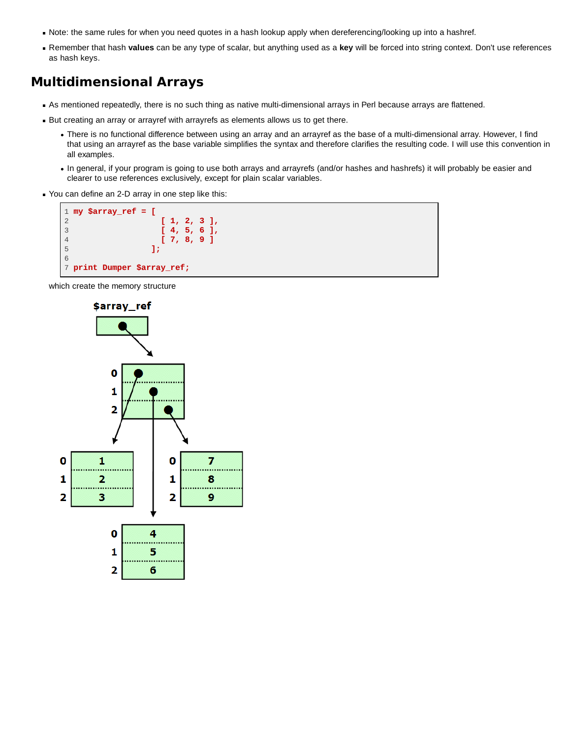- Note: the same rules for when you need quotes in a hash lookup apply when dereferencing/looking up into a hashref.
- Remember that hash **values** can be any type of scalar, but anything used as a **key** will be forced into string context. Don't use references as hash keys.

## **Multidimensional Arrays**

- As mentioned repeatedly, there is no such thing as native multi-dimensional arrays in Perl because arrays are flattened.
- But creating an array or arrayref with arrayrefs as elements allows us to get there.
	- There is no functional difference between using an array and an arrayref as the base of a multi-dimensional array. However, I find that using an arrayref as the base variable simplifies the syntax and therefore clarifies the resulting code. I will use this convention in all examples.
	- . In general, if your program is going to use both arrays and arrayrefs (and/or hashes and hashrefs) it will probably be easier and clearer to use references exclusively, except for plain scalar variables.
- You can define an 2-D array in one step like this:



which create the memory structure

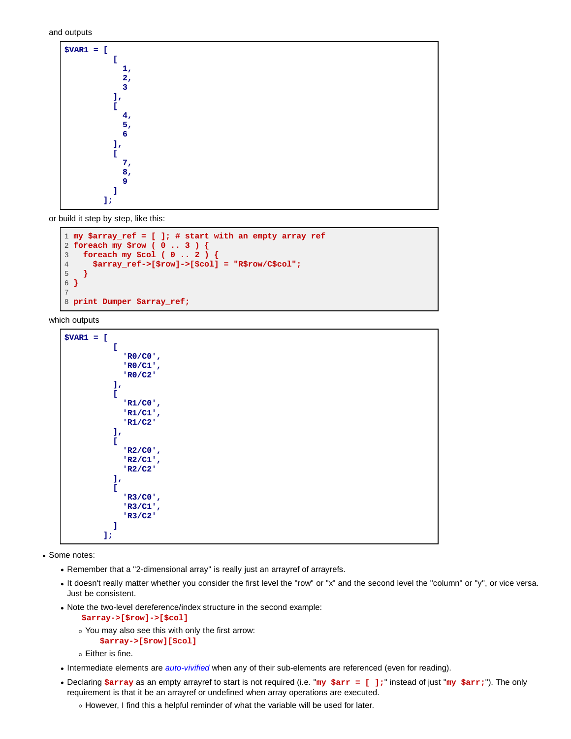and outputs

| $$VAR1 = [$ |  |  |
|-------------|--|--|
|             |  |  |
| 1,          |  |  |
| 2,          |  |  |
| 3           |  |  |
|             |  |  |
|             |  |  |
|             |  |  |
| 4,          |  |  |
| 5,          |  |  |
| 6           |  |  |
|             |  |  |
| ı,          |  |  |
|             |  |  |
| 7,          |  |  |
| 8,          |  |  |
| 9           |  |  |
|             |  |  |
|             |  |  |
| 1,          |  |  |

or build it step by step, like this:

```
1 my $array_ref = [ ]; # start with an empty array ref
2 foreach my $row ( 0 .. 3 ) {
3 foreach my $col ( 0 .. 2 ) {
4 $array_ref->[$row]->[$col] = "R$row/C$col";
5 }
6 }
7
8 print Dumper $array_ref;
```
which outputs

```
$VAR1 = [
 [
             'R0/C0',
             'R0/C1',
             'R0/C2'
           ],
           [
             'R1/C0',
             'R1/C1',
             'R1/C2'
           ],
 [
             'R2/C0',
             'R2/C1',
             'R2/C2'
           ],
 [
             'R3/C0',
             'R3/C1',
             'R3/C2'
           ]
         ];
```
Some notes:

- Remember that a "2-dimensional array" is really just an arrayref of arrayrefs.
- It doesn't really matter whether you consider the first level the "row" or "x" and the second level the "column" or "y", or vice versa. Just be consistent.
- Note the two-level dereference/index structure in the second example:

 **\$array->[\$row]->[\$col]**

- You may also see this with only the first arrow:  **\$array->[\$row][\$col]**
- Either is fine.
- Intermediate elements are *auto-vivified* when any of their sub-elements are referenced (even for reading).
- Declaring **\$array** as an empty arrayref to start is not required (i.e. "**my \$arr = [ ];**" instead of just "**my \$arr;**"). The only requirement is that it be an arrayref or undefined when array operations are executed.
	- o However, I find this a helpful reminder of what the variable will be used for later.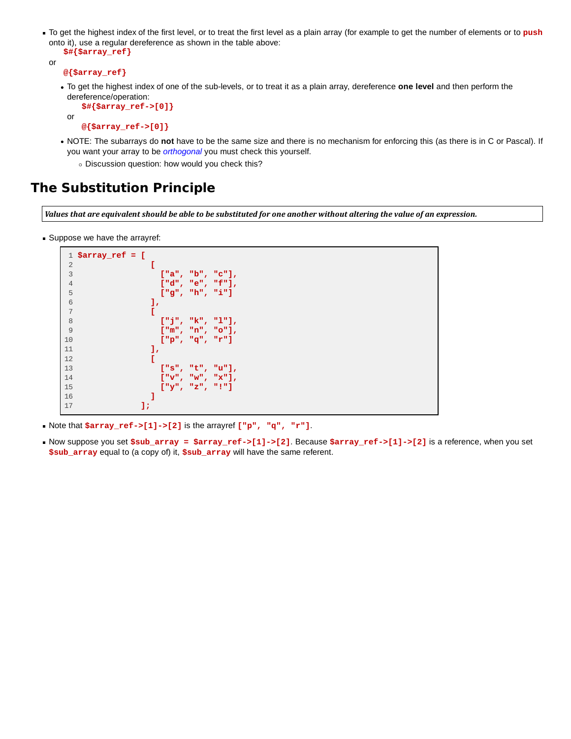To get the highest index of the first level, or to treat the first level as a plain array (for example to get the number of elements or to **push** onto it), use a regular dereference as shown in the table above:

```
 $#{$array_ref}
```

```
or
```

```
 @{$array_ref}
```
To get the highest index of one of the sub-levels, or to treat it as a plain array, dereference **one level** and then perform the dereference/operation:

 **\$#{\$array\_ref->[0]}** or

 **@{\$array\_ref->[0]}**

- NOTE: The subarrays do **not** have to be the same size and there is no mechanism for enforcing this (as there is in C or Pascal). If you want your array to be *orthogonal* you must check this yourself.
	- Discussion question: how would you check this?

# **The Substitution Principle**

Values that are equivalent should be able to be substituted for one another without altering the value of an expression.

Suppose we have the arrayref:

```
 1 $array_ref = [
 2 [
 3 ["a", "b", "c"],
 4 ["d", "e", "f"],
 5 ["g", "h", "i"] 
 6 ],
 7 [
 8 ["j", "k", "l"],
 9 ["m", "n", "o"],
10 ["p", "q", "r"] 
11 ],
12 [
13 ["s", "t", "u"],
14 ["v", "w", "x"],
15 ["y", "z", "!"] 
16 ]
17 ];
```
- Note that **\$array\_ref->[1]->[2]** is the arrayref **["p", "q", "r"]**.
- Now suppose you set **\$sub\_array = \$array\_ref->[1]->[2]**. Because **\$array\_ref->[1]->[2]** is a reference, when you set **\$sub\_array** equal to (a copy of) it, **\$sub\_array** will have the same referent.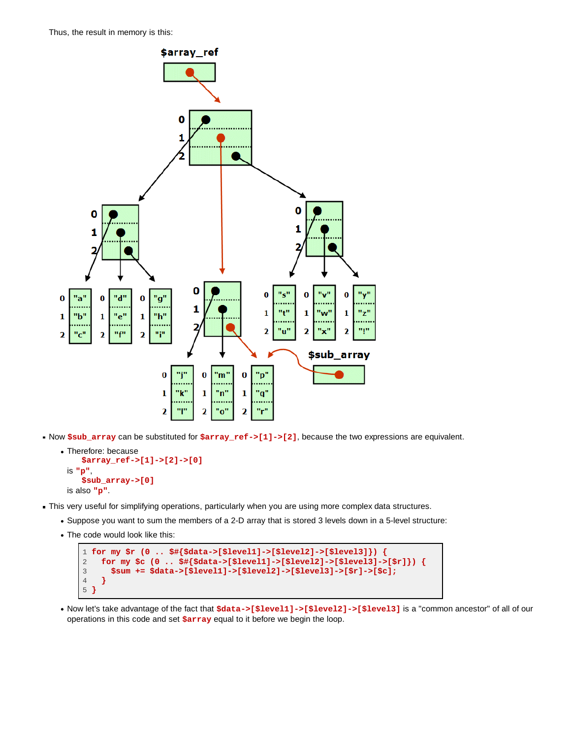Thus, the result in memory is this:



Now **\$sub\_array** can be substituted for **\$array\_ref->[1]->[2]**, because the two expressions are equivalent.

```
Therefore: because
      $array_ref->[1]->[2]->[0]
 is "p",
      $sub_array->[0]
 is also "p".
```
- This very useful for simplifying operations, particularly when you are using more complex data structures.
	- Suppose you want to sum the members of a 2-D array that is stored 3 levels down in a 5-level structure:
	- The code would look like this:

```
1 for my $r (0 .. $#{$data->[$level1]->[$level2]->[$level3]}) {
2 for my $c (0 .. $#{$data->[$level1]->[$level2]->[$level3]->[$r]}) {
3 $sum += $data->[$level1]->[$level2]->[$level3]->[$r]->[$c];
4 }
5 }
```
Now let's take advantage of the fact that **\$data->[\$level1]->[\$level2]->[\$level3]** is a "common ancestor" of all of our operations in this code and set **\$array** equal to it before we begin the loop.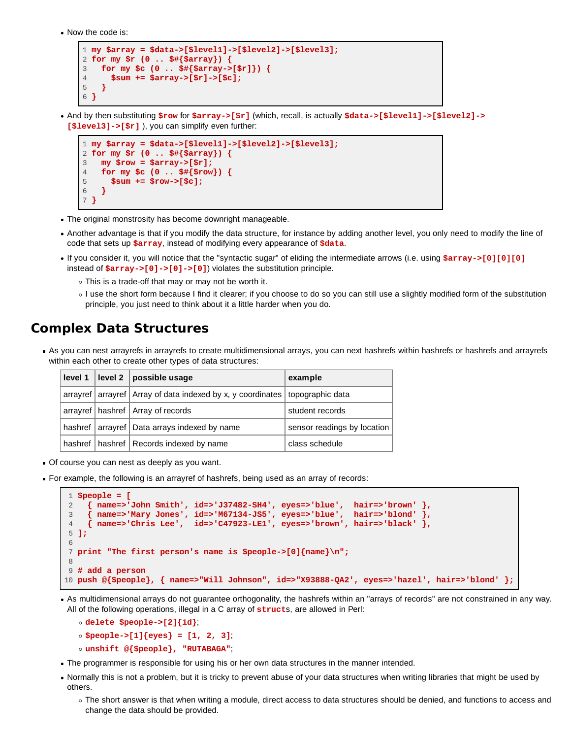Now the code is:

```
1 my $array = $data->[$level1]->[$level2]->[$level3];
2 for my $r (0 .. $#{$array}) {
3 for my $c (0 .. $#{$array->[$r]}) {
4 $sum += $array->[$r]->[$c];
5 }
6 }
```
And by then substituting **\$row** for **\$array->[\$r]** (which, recall, is actually **\$data->[\$level1]->[\$level2]-> [\$level3]->[\$r]** ), you can simplify even further:

```
1 my $array = $data->[$level1]->[$level2]->[$level3];
2 for my $r (0 .. $#{$array}) {
3 my $row = $array->[$r];
4 for my $c (0 .. $#{$row}) {
5 $sum += $row->[$c];
\frac{6}{7}}
 7 }
```
- The original monstrosity has become downright manageable.
- Another advantage is that if you modify the data structure, for instance by adding another level, you only need to modify the line of code that sets up **\$array**, instead of modifying every appearance of **\$data**.
- If you consider it, you will notice that the "syntactic sugar" of eliding the intermediate arrows (i.e. using **\$array->[0][0][0]** instead of **\$array->[0]->[0]->[0]**) violates the substitution principle.
	- This is a trade-off that may or may not be worth it.
	- I use the short form because I find it clearer; if you choose to do so you can still use a slightly modified form of the substitution principle, you just need to think about it a little harder when you do.

### **Complex Data Structures**

As you can nest arrayrefs in arrayrefs to create multidimensional arrays, you can next hashrefs within hashrefs or hashrefs and arrayrefs within each other to create other types of data structures:

|  | level 1   level 2   possible usage                                                 | example                     |
|--|------------------------------------------------------------------------------------|-----------------------------|
|  | arrayref   arrayref   Array of data indexed by x, y coordinates   topographic data |                             |
|  | arrayref   hashref   Array of records                                              | student records             |
|  | hashref   arrayref   Data arrays indexed by name                                   | sensor readings by location |
|  | hashref   hashref   Records indexed by name                                        | class schedule              |

- Of course you can nest as deeply as you want.
- For example, the following is an arrayref of hashrefs, being used as an array of records:

```
 1 $people = [
 2 { name=>'John Smith', id=>'J37482-SH4', eyes=>'blue', hair=>'brown' },
      3 { name=>'Mary Jones', id=>'M67134-JS5', eyes=>'blue', hair=>'blond' },
 4 { name=>'Chris Lee', id=>'C47923-LE1', eyes=>'brown', hair=>'black' },
 5 ];
 6
 7 print "The first person's name is $people->[0]{name}\n";
 8
 9 # add a person
10 push @{$people}, { name=>"Will Johnson", id=>"X93888-QA2', eyes=>'hazel', hair=>'blond' };
```
As multidimensional arrays do not guarantee orthogonality, the hashrefs within an "arrays of records" are not constrained in any way. All of the following operations, illegal in a C array of **struct**s, are allowed in Perl:

```
delete $people->[2]{id};
$people->[1]{eyes} = [1, 2, 3];
unshift @{$people}, "RUTABAGA";
```
- The programmer is responsible for using his or her own data structures in the manner intended.
- Normally this is not a problem, but it is tricky to prevent abuse of your data structures when writing libraries that might be used by others.
	- The short answer is that when writing a module, direct access to data structures should be denied, and functions to access and change the data should be provided.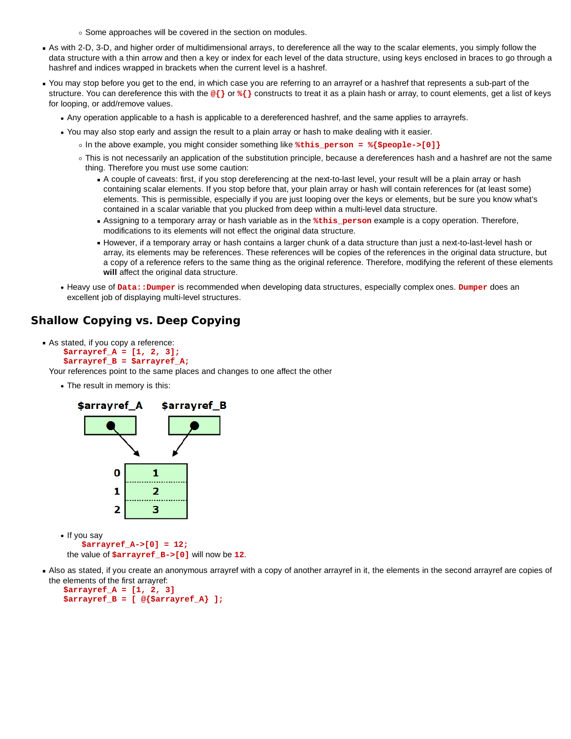○ Some approaches will be covered in the section on modules.

- As with 2-D, 3-D, and higher order of multidimensional arrays, to dereference all the way to the scalar elements, you simply follow the data structure with a thin arrow and then a key or index for each level of the data structure, using keys enclosed in braces to go through a hashref and indices wrapped in brackets when the current level is a hashref.
- You may stop before you get to the end, in which case you are referring to an arrayref or a hashref that represents a sub-part of the structure. You can dereference this with the  $\mathcal{Q}\}$  or  $\{$  constructs to treat it as a plain hash or array, to count elements, get a list of keys for looping, or add/remove values.
	- Any operation applicable to a hash is applicable to a dereferenced hashref, and the same applies to arrayrefs.
	- You may also stop early and assign the result to a plain array or hash to make dealing with it easier.
		- In the above example, you might consider something like **%this\_person = %{\$people->[0]}**
		- This is not necessarily an application of the substitution principle, because a dereferences hash and a hashref are not the same thing. Therefore you must use some caution:
			- A couple of caveats: first, if you stop dereferencing at the next-to-last level, your result will be a plain array or hash containing scalar elements. If you stop before that, your plain array or hash will contain references for (at least some) elements. This is permissible, especially if you are just looping over the keys or elements, but be sure you know what's contained in a scalar variable that you plucked from deep within a multi-level data structure.
			- Assigning to a temporary array or hash variable as in the **%this\_person** example is a copy operation. Therefore, modifications to its elements will not effect the original data structure.
			- However, if a temporary array or hash contains a larger chunk of a data structure than just a next-to-last-level hash or array, its elements may be references. These references will be copies of the references in the original data structure, but a copy of a reference refers to the same thing as the original reference. Therefore, modifying the referent of these elements **will** affect the original data structure.
	- Heavy use of **Data::Dumper** is recommended when developing data structures, especially complex ones. **Dumper** does an excellent job of displaying multi-level structures.

### **Shallow Copying vs. Deep Copying**

As stated, if you copy a reference:  **\$arrayref\_A = [1, 2, 3]; \$arrayref\_B = \$arrayref\_A;**

Your references point to the same places and changes to one affect the other

The result in memory is this:



the value of **\$arrayref\_B->[0]** will now be **12**.

Also as stated, if you create an anonymous arrayref with a copy of another arrayref in it, the elements in the second arrayref are copies of the elements of the first arrayref:

```
 $arrayref_A = [1, 2, 3]
 $arrayref_B = [ @{$arrayref_A} ];
```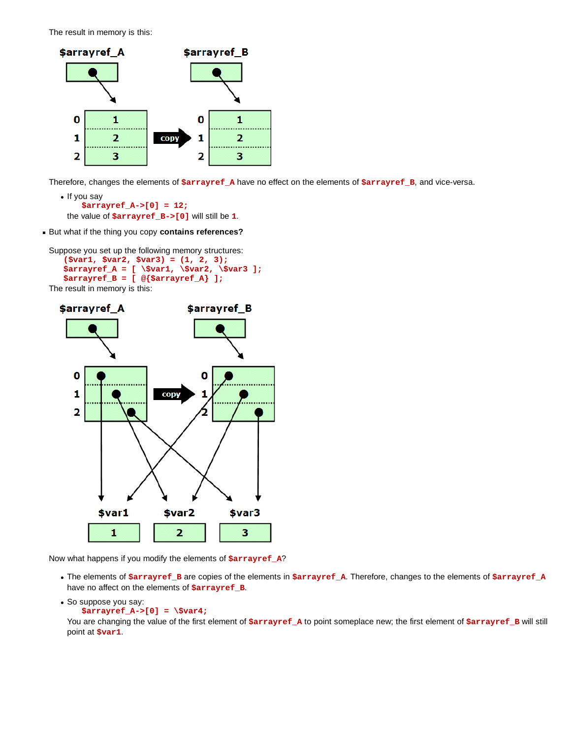The result in memory is this:



Therefore, changes the elements of **\$arrayref\_A** have no effect on the elements of **\$arrayref\_B**, and vice-versa.

```
• If you say
      $arrayref_A->[0] = 12;
 the value of $arrayref_B->[0] will still be 1.
```
But what if the thing you copy **contains references?**

```
Suppose you set up the following memory structures:
    ($var1, $var2, $var3) = (1, 2, 3);
    $arrayref_A = [ \$var1, \$var2, \$var3 ];
    $arrayref_B = [ @{$arrayref_A} ];
The result in memory is this:
```


Now what happens if you modify the elements of **\$arrayref\_A**?

The elements of **\$arrayref\_B** are copies of the elements in **\$arrayref\_A**. Therefore, changes to the elements of **\$arrayref\_A** have no affect on the elements of **\$arrayref\_B**.

```
• So suppose you say:
     $arrayref_A->[0] = \$var4;
```
You are changing the value of the first element of *\$arrayref\_A* to point someplace new; the first element of *\$arrayref\_B* will still point at **\$var1**.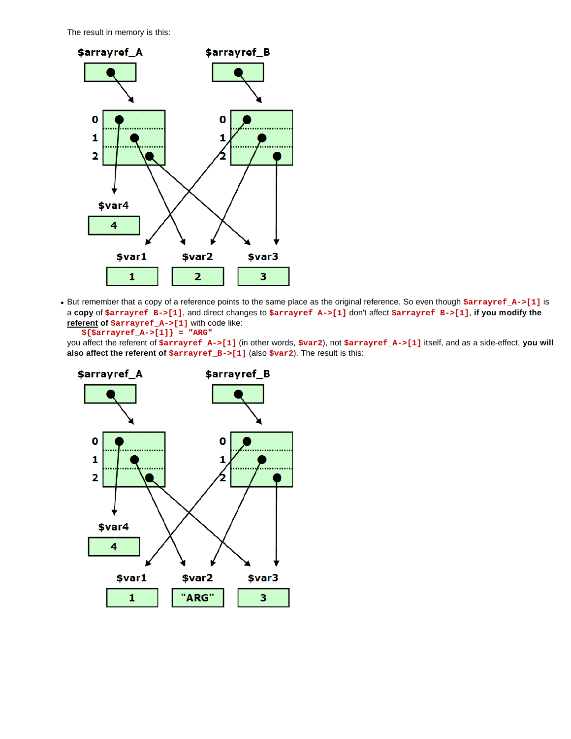The result in memory is this:



• But remember that a copy of a reference points to the same place as the original reference. So even though  $s = x - 1$ ] is a **copy** of **\$arrayref\_B->[1]**, and direct changes to **\$arrayref\_A->[1]** don't affect **\$arrayref\_B->[1]**, **if you modify the referent of \$arrayref\_A->[1]** with code like:

 **\${\$arrayref\_A->[1]} = "ARG"**

you affect the referent of **\$arrayref\_A->[1]** (in other words, **\$var2**), not **\$arrayref\_A->[1]** itself, and as a side-effect, **you will also affect the referent of \$arrayref\_B->[1]** (also **\$var2**). The result is this:

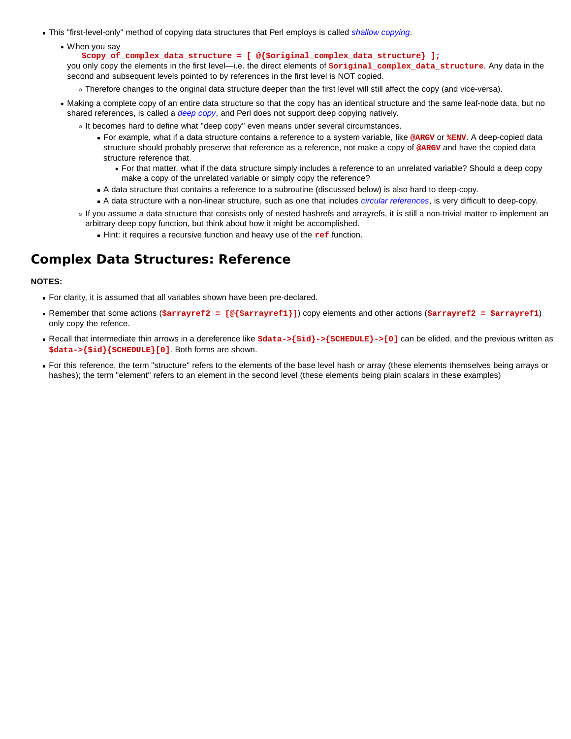- This "first-level-only" method of copying data structures that Perl employs is called *shallow copying*.
	- When you say
		- **\$copy\_of\_complex\_data\_structure = [ @{\$original\_complex\_data\_structure} ];**

you only copy the elements in the first level—i.e. the direct elements of **\$original\_complex\_data\_structure**. Any data in the second and subsequent levels pointed to by references in the first level is NOT copied.

- Therefore changes to the original data structure deeper than the first level will still affect the copy (and vice-versa).
- Making a complete copy of an entire data structure so that the copy has an identical structure and the same leaf-node data, but no shared references, is called a *deep copy*, and Perl does not support deep copying natively.
	- It becomes hard to define what "deep copy" even means under several circumstances.
		- For example, what if a data structure contains a reference to a system variable, like **@ARGV** or **%ENV**. A deep-copied data structure should probably preserve that reference as a reference, not make a copy of **@ARGV** and have the copied data structure reference that.
			- For that matter, what if the data structure simply includes a reference to an unrelated variable? Should a deep copy make a copy of the unrelated variable or simply copy the reference?
		- A data structure that contains a reference to a subroutine (discussed below) is also hard to deep-copy.
		- A data structure with a non-linear structure, such as one that includes *circular references*, is very difficult to deep-copy.
	- If you assume a data structure that consists only of nested hashrefs and arrayrefs, it is still a non-trivial matter to implement an arbitrary deep copy function, but think about how it might be accomplished.
		- Hint: it requires a recursive function and heavy use of the **ref** function.

## **Complex Data Structures: Reference**

#### **NOTES:**

- For clarity, it is assumed that all variables shown have been pre-declared.
- Remember that some actions (**\$arrayref2 = [@{\$arrayref1}]**) copy elements and other actions (**\$arrayref2 = \$arrayref1**) only copy the refence.
- Recall that intermediate thin arrows in a dereference like  $$data->$sid->S$  SCHEDULE}->[0] can be elided, and the previous written as **\$data->{\$id}{SCHEDULE}[0]**. Both forms are shown.
- For this reference, the term "structure" refers to the elements of the base level hash or array (these elements themselves being arrays or hashes); the term "element" refers to an element in the second level (these elements being plain scalars in these examples)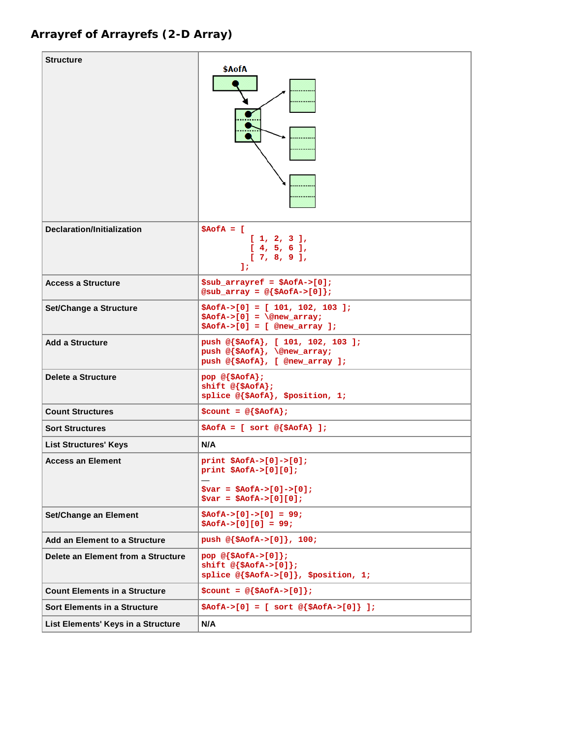# **Arrayref of Arrayrefs (2-D Array)**

| <b>Structure</b>                     | \$AofA                                                                                                             |
|--------------------------------------|--------------------------------------------------------------------------------------------------------------------|
| <b>Declaration/Initialization</b>    | $$AofA = [$<br>[1, 2, 3],<br>[4, 5, 6],<br>[7, 8, 9],<br>17                                                        |
| <b>Access a Structure</b>            | $$sub_arrayref = $AofA->[0];$<br>@sub_array = $@$ {\$AofA->[0]};                                                   |
| Set/Change a Structure               | $$AofA->[0] = [101, 102, 103];$<br>$$AofA->[0] = \@new_array;$<br>$$AofA->[0] = [$ @new_array ];                   |
| <b>Add a Structure</b>               | push @{\$AofA}, [ 101, 102, 103 ];<br>push @{\$AofA}, \@new_array;<br>push @{\$AofA}, [ @new_array ];              |
| Delete a Structure                   | pop @{\$AofA};<br>shift $@{\text{*AofA}}$ ;<br>splice @{\$AofA}, \$position, 1;                                    |
| <b>Count Structures</b>              | $\texttt{South} = \texttt{@}\{\texttt{SAoEA}\}\;$                                                                  |
| <b>Sort Structures</b>               | $$AofA = [ sort @ {$AofA } ];$                                                                                     |
| <b>List Structures' Keys</b>         | N/A                                                                                                                |
| <b>Access an Element</b>             | $print$ \$AofA->[0]->[0];<br>$print$ \$AofA->[0][0];<br>$$var = $AofA->[0]->[0];$<br>$$var = $AofA->[0][0];$       |
| Set/Change an Element                | $$AofA->[0]->[0] = 99;$<br>$$AofA->[0][0] = 99;$                                                                   |
| Add an Element to a Structure        | push $@{\$AofA->[0]}\;$ , 100;                                                                                     |
| Delete an Element from a Structure   | pop $@{\simeq}$ $\{\simeq$ AofA->[0] };<br>shift $@{\text{SAOEA->[0]}}$ ;<br>splice @{\$AofA->[0]}, \$position, 1; |
| <b>Count Elements in a Structure</b> | $\text{\$count} = \text{\&} \{\text{\$Aofa->[0]}\}\;$                                                              |
| <b>Sort Elements in a Structure</b>  | $$AofA->[0] = [ sort @ {$AofA->[0]} ];$                                                                            |
| List Elements' Keys in a Structure   | N/A                                                                                                                |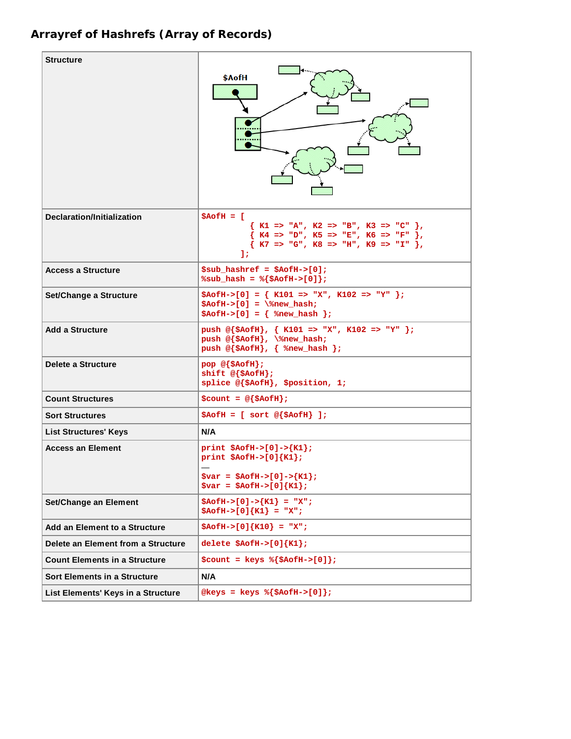# **Arrayref of Hashrefs (Array of Records)**

| <b>Structure</b>                     | \$AofH                                                                                                                                                                                                     |
|--------------------------------------|------------------------------------------------------------------------------------------------------------------------------------------------------------------------------------------------------------|
| Declaration/Initialization           | $$AofH = [$<br>$\{ K1 \implies "A", K2 \implies "B", K3 \implies "C" \},$<br>$\{ K4 \implies "D", K5 \implies "E", K6 \implies "F" \}$<br>$\{ K7 \implies "G", K8 \implies "H", K9 \implies "I", \}$<br>11 |
| <b>Access a Structure</b>            | $$sub$ hashref = $$AofH->[0];$<br>$\text{sub\_hash} = \frac{1}{2} \{ \text{SAofH->[0]} \}$                                                                                                                 |
| Set/Change a Structure               | $$AofH->[0] = { K101 => "X", K102 => "Y" };$<br>$$AofH->[0] = \$ rew_hash;<br>$$AofH->[0] = {$ \tew_hash };                                                                                                |
| <b>Add a Structure</b>               | push @{\$AofH}, { K101 => "X", K102 => "Y" };<br>push @{\$AofH}, \%new_hash;<br>push $@{\$AofH}, {$ \ *new_hash };                                                                                         |
| Delete a Structure                   | $pop \ @{\$AofH\};$<br>shift $@{\text{SAofH}}$ ;<br>splice @{\$AofH}, \$position, 1;                                                                                                                       |
| <b>Count Structures</b>              | $\text{\$count = @ } \{\text{\$AofH}\}\text{;}$                                                                                                                                                            |
| <b>Sort Structures</b>               | $$AofH = [ sort @ {$AofH } ];$                                                                                                                                                                             |
| <b>List Structures' Keys</b>         | N/A                                                                                                                                                                                                        |
| <b>Access an Element</b>             | print $$AofH->[0]->{K1};$<br>print $$AofH->[0]\{K1\}$ ;<br>$\text{Svar} = \text{SAGH} > [0] - > {K1};$<br>$\frac{1}{2} \text{var} = \frac{2}{2} \text{AoffH} > [0] {K1};$                                  |
| Set/Change an Element                | $$AofH->[0]->{K1} = "X";$<br>$$AofH->[0]\{K1\} = "X";$                                                                                                                                                     |
| Add an Element to a Structure        | $$AofH->[0]\{K10\} = "X";$                                                                                                                                                                                 |
| Delete an Element from a Structure   | delete $$AofH->[0]\{K1\}$ ;                                                                                                                                                                                |
| <b>Count Elements in a Structure</b> | $\text{Scount} = \text{keys } \{\text{SAofH->[0]}\}\;$                                                                                                                                                     |
| <b>Sort Elements in a Structure</b>  | N/A                                                                                                                                                                                                        |
| List Elements' Keys in a Structure   | $@keys = keys % {§AofH->[0]};$                                                                                                                                                                             |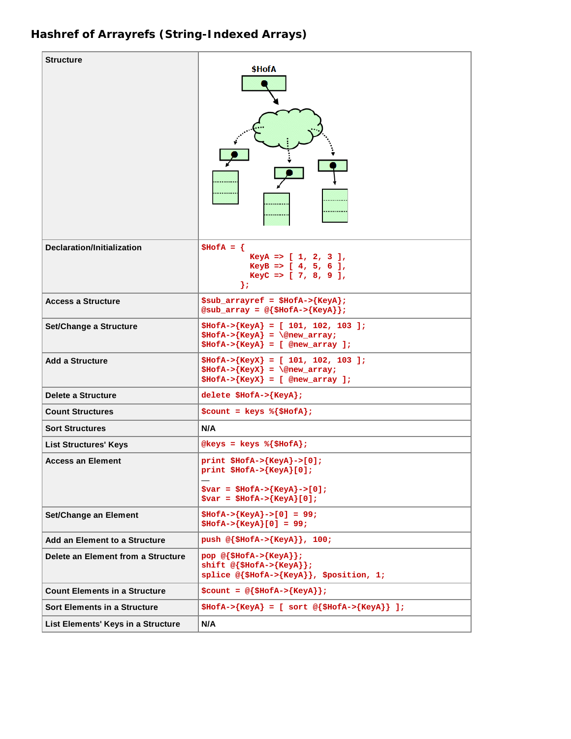# **Hashref of Arrayrefs (String-Indexed Arrays)**

| Structure                            | \$HofA                                                                                                                  |
|--------------------------------------|-------------------------------------------------------------------------------------------------------------------------|
| <b>Declaration/Initialization</b>    | $$HofA = \{$<br>KeyA => $[1, 2, 3]$ ,<br>KeyB => $[4, 5, 6]$ ,<br>KeyC => $[ 7, 8, 9 ]$ ,<br>};                         |
| <b>Access a Structure</b>            | $$sub_arrayref = $HofA->{KeyA};$<br>@sub_array = $@$ {\$HofA->{KeyA}};                                                  |
| Set/Change a Structure               | $$HofA->{KeyA} = [ 101, 102, 103 ];$<br>$$HofA->{KeyA} = \@new_array;$<br>$$HofA->{KeyA} = [$ @new_array ];             |
| <b>Add a Structure</b>               | $$HofA->{KeyX} = [ 101, 102, 103 ];$<br>$$HofA->{KeyX} = \@new_array;$<br>$$HofA->{KeyX} = [$ @new_array ];             |
| Delete a Structure                   | delete $$HofA->{KeyA};$                                                                                                 |
| <b>Count Structures</b>              | $\text{South} = \text{keys } \{\text{SHofA}\};$                                                                         |
| <b>Sort Structures</b>               | N/A                                                                                                                     |
| <b>List Structures' Keys</b>         | @keys = keys $\{\$HofA\}$ ;                                                                                             |
| <b>Access an Element</b>             | $print$ \$HofA->{KeyA}->[0];<br>print $$HofA->{KeyA}[0];$<br>$$var = $HofA->{KeyA}->[0];$<br>$$var = $HofA->{KeyA}[0];$ |
| Set/Change an Element                | $$HofA->{KeyA}->[0] = 99;$<br>$$HofA->{KeyA}[0] = 99;$                                                                  |
| Add an Element to a Structure        | push $@{\$HofA->KeyA\}$ , 100;                                                                                          |
| Delete an Element from a Structure   | pop $@{\$HofA->{KeyA}}$ ;<br>shift $@{\$HofA->}{KeyA}\};$<br>splice $@{\$HofA->{KeyA}}$ , \$position, 1;                |
| <b>Count Elements in a Structure</b> | $\text{\$count = @ {$HofA->{KeyA}$}$};$                                                                                 |
| Sort Elements in a Structure         | $$HofA->{KeyA} = [ sort @ {$HofA->{KeyA}} ] ]$                                                                          |
| List Elements' Keys in a Structure   | N/A                                                                                                                     |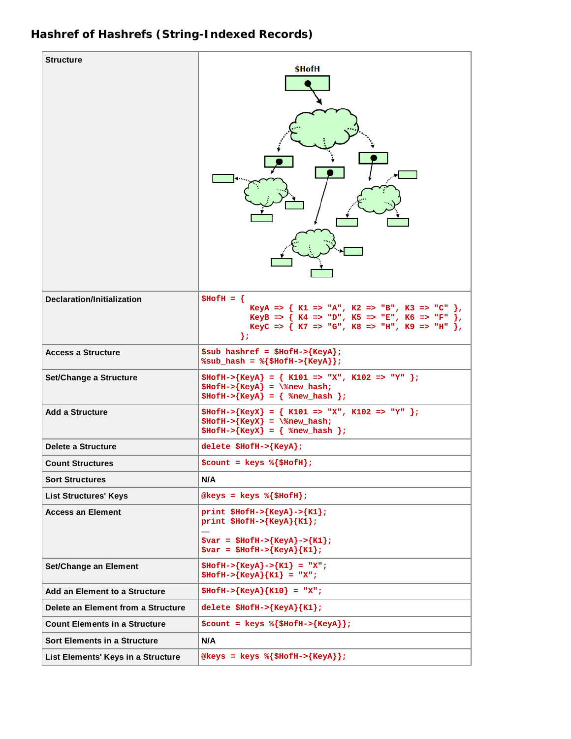## **Hashref of Hashrefs (String-Indexed Records)**

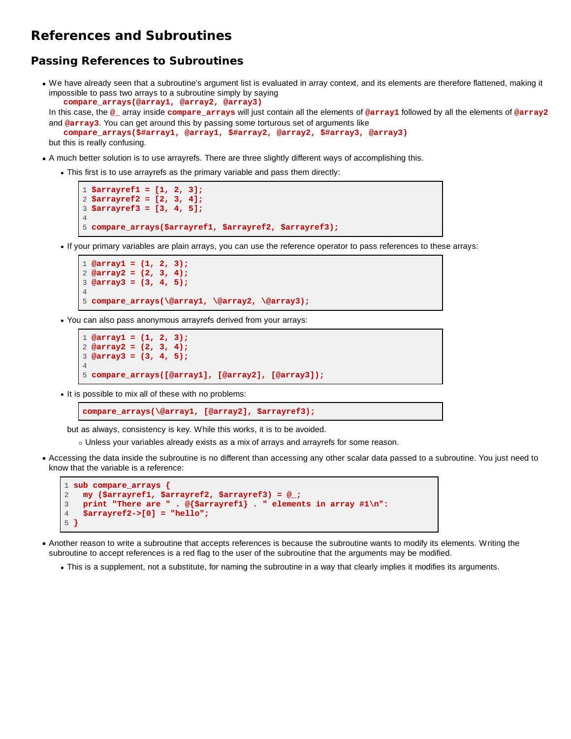## **References and Subroutines**

#### **Passing References to Subroutines**

We have already seen that a subroutine's argument list is evaluated in array context, and its elements are therefore flattened, making it impossible to pass two arrays to a subroutine simply by saying  **compare\_arrays(@array1, @array2, @array3)**

In this case, the **@\_** array inside **compare\_arrays** will just contain all the elements of **@array1** followed by all the elements of **@array2** and **@array3**. You can get around this by passing some torturous set of arguments like

```
 compare_arrays($#array1, @array1, $#array2, @array2, $#array3, @array3)
but this is really confusing.
```
- A much better solution is to use arrayrefs. There are three slightly different ways of accomplishing this.
	- This first is to use arrayrefs as the primary variable and pass them directly:

```
1 $arrayref1 = [1, 2, 3];
2 $arrayref2 = [2, 3, 4];
3 $arrayref3 = [3, 4, 5];
4
5 compare_arrays($arrayref1, $arrayref2, $arrayref3);
```
If your primary variables are plain arrays, you can use the reference operator to pass references to these arrays:

```
1 @array1 = (1, 2, 3);
2 @array2 = (2, 3, 4);
3 @array3 = (3, 4, 5);
4
5 compare_arrays(\@array1, \@array2, \@array3);
```
You can also pass anonymous arrayrefs derived from your arrays:

```
1 @array1 = (1, 2, 3);
2 @array2 = (2, 3, 4);
3 @array3 = (3, 4, 5);
4
5 compare_arrays([@array1], [@array2], [@array3]);
```
• It is possible to mix all of these with no problems:

**compare\_arrays(\@array1, [@array2], \$arrayref3);**

but as always, consistency is key. While this works, it is to be avoided.

- Unless your variables already exists as a mix of arrays and arrayrefs for some reason.
- Accessing the data inside the subroutine is no different than accessing any other scalar data passed to a subroutine. You just need to know that the variable is a reference:

```
1 sub compare_arrays {
2 my ($arrayref1, $arrayref2, $arrayref3) = @_;
3 print "There are " . @{$arrayref1} . " elements in array #1\n":
   4 $arrayref2->[0] = "hello";
5 }
```
- Another reason to write a subroutine that accepts references is because the subroutine wants to modify its elements. Writing the subroutine to accept references is a red flag to the user of the subroutine that the arguments may be modified.
	- This is a supplement, not a substitute, for naming the subroutine in a way that clearly implies it modifies its arguments.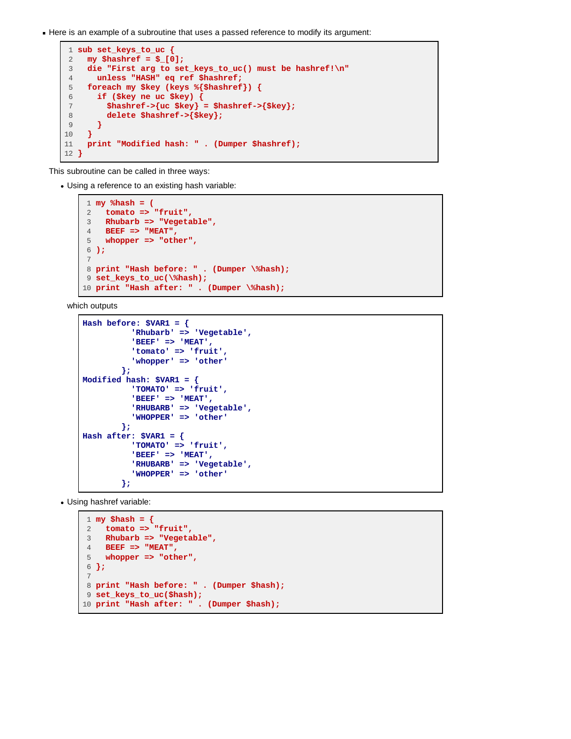Here is an example of a subroutine that uses a passed reference to modify its argument:

```
 1 sub set_keys_to_uc {
 2 my $hashref = $_[0];
 3 die "First arg to set_keys_to_uc() must be hashref!\n"
 4 unless "HASH" eq ref $hashref;
 5 foreach my $key (keys %{$hashref}) {
 6 if ($key ne uc $key) {
        7 $hashref->{uc $key} = $hashref->{$key};
 8 delete $hashref->{$key};
 9 }
10 }
11 print "Modified hash: " . (Dumper $hashref);
12 }
```
This subroutine can be called in three ways:

Using a reference to an existing hash variable:

```
 1 my %hash = (
 2 tomato => "fruit",
 3 Rhubarb => "Vegetable",
 4 BEEF => "MEAT",
 5 whopper => "other",
 6 );
 7
 8 print "Hash before: " . (Dumper \%hash);
 9 set_keys_to_uc(\%hash);
10 print "Hash after: " . (Dumper \%hash);
```
which outputs

```
Hash before: $VAR1 = {
            'Rhubarb' => 'Vegetable',
            'BEEF' => 'MEAT',
            'tomato' => 'fruit',
            'whopper' => 'other'
         };
Modified hash: $VAR1 = {
            'TOMATO' => 'fruit',
            'BEEF' => 'MEAT',
            'RHUBARB' => 'Vegetable',
            'WHOPPER' => 'other'
         };
Hash after: $VAR1 = {
            'TOMATO' => 'fruit',
            'BEEF' => 'MEAT',
            'RHUBARB' => 'Vegetable',
            'WHOPPER' => 'other'
         };
```
Using hashref variable:

```
 1 my $hash = {
 2 tomato => "fruit",
 3 Rhubarb => "Vegetable",
 4 BEEF => "MEAT",
 5 whopper => "other",
 6 };
 7
 8 print "Hash before: " . (Dumper $hash);
 9 set_keys_to_uc($hash);
10 print "Hash after: " . (Dumper $hash);
```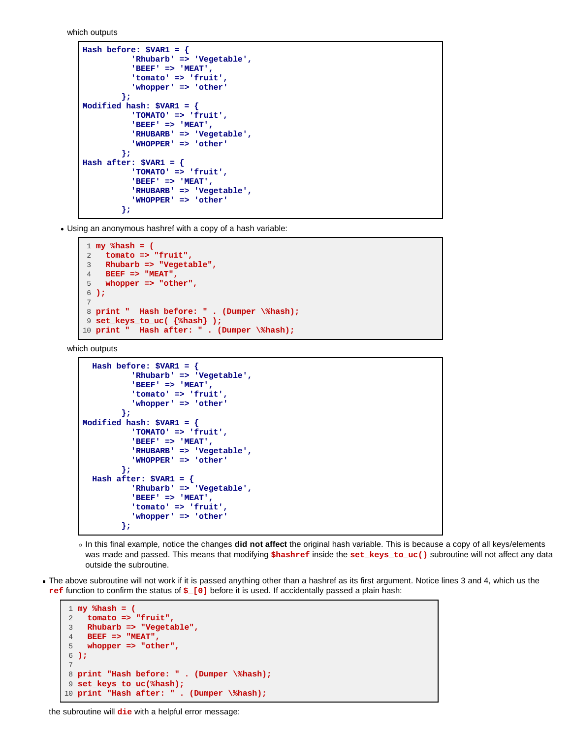which outputs

```
Hash before: $VAR1 = {
            'Rhubarb' => 'Vegetable',
            'BEEF' => 'MEAT',
            'tomato' => 'fruit',
            'whopper' => 'other'
         };
Modified hash: $VAR1 = {
            'TOMATO' => 'fruit',
            'BEEF' => 'MEAT',
            'RHUBARB' => 'Vegetable',
            'WHOPPER' => 'other'
         };
Hash after: $VAR1 = {
            'TOMATO' => 'fruit',
            'BEEF' => 'MEAT',
            'RHUBARB' => 'Vegetable',
            'WHOPPER' => 'other'
          };
```
Using an anonymous hashref with a copy of a hash variable:

```
 1 my %hash = (
 2 tomato => "fruit",
 3 Rhubarb => "Vegetable",
 4 BEEF => "MEAT",
 5 whopper => "other",
 6 );
 7
 8 print " Hash before: " . (Dumper \%hash);
 9 set_keys_to_uc( {%hash} );
10 print " Hash after: " . (Dumper \%hash);
```
which outputs

```
 Hash before: $VAR1 = {
            'Rhubarb' => 'Vegetable',
            'BEEF' => 'MEAT',
            'tomato' => 'fruit',
            'whopper' => 'other'
         };
Modified hash: $VAR1 = {
            'TOMATO' => 'fruit',
            'BEEF' => 'MEAT',
            'RHUBARB' => 'Vegetable',
            'WHOPPER' => 'other'
         };
  Hash after: $VAR1 = {
            'Rhubarb' => 'Vegetable',
            'BEEF' => 'MEAT',
            'tomato' => 'fruit',
            'whopper' => 'other'
         };
```
- In this final example, notice the changes **did not affect** the original hash variable. This is because a copy of all keys/elements was made and passed. This means that modifying **\$hashref** inside the **set\_keys\_to\_uc()** subroutine will not affect any data outside the subroutine.
- The above subroutine will not work if it is passed anything other than a hashref as its first argument. Notice lines 3 and 4, which us the **ref** function to confirm the status of **\$\_[0]** before it is used. If accidentally passed a plain hash:

```
 1 my %hash = (
 2 tomato => "fruit",
 3 Rhubarb => "Vegetable",
 4 BEEF => "MEAT",
 5 whopper => "other",
 6 );
 7
 8 print "Hash before: " . (Dumper \%hash);
 9 set_keys_to_uc(%hash);
10 print "Hash after: " . (Dumper \%hash);
```
#### the subroutine will **die** with a helpful error message: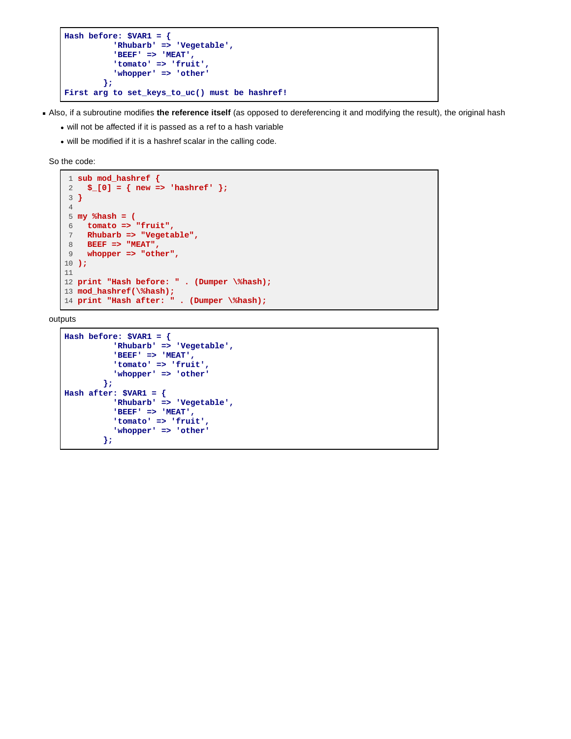```
Hash before: $VAR1 = {
           'Rhubarb' => 'Vegetable',
            'BEEF' => 'MEAT',
            'tomato' => 'fruit',
            'whopper' => 'other'
         };
First arg to set_keys_to_uc() must be hashref!
```
Also, if a subroutine modifies **the reference itself** (as opposed to dereferencing it and modifying the result), the original hash

- will not be affected if it is passed as a ref to a hash variable
- will be modified if it is a hashref scalar in the calling code.

So the code:

```
1 sub mod_hashref \{2, 5, 101 = \{new = 1, 100\}$[0] = { new => 'hashref' }; 3 }
 4
 5 my %hash = (
  6 tomato => "fruit",
 7 Rhubarb => "Vegetable",
 8 BEEF => "MEAT",
 9 whopper => "other",
10 );
11
12 print "Hash before: " . (Dumper \%hash);
13 mod_hashref(\%hash);
14 print "Hash after: " . (Dumper \%hash);
```
outputs

```
Hash before: $VAR1 = {
           'Rhubarb' => 'Vegetable',
            'BEEF' => 'MEAT',
            'tomato' => 'fruit',
            'whopper' => 'other'
         };
Hash after: $VAR1 = {
           'Rhubarb' => 'Vegetable',
            'BEEF' => 'MEAT',
            'tomato' => 'fruit',
            'whopper' => 'other'
         };
```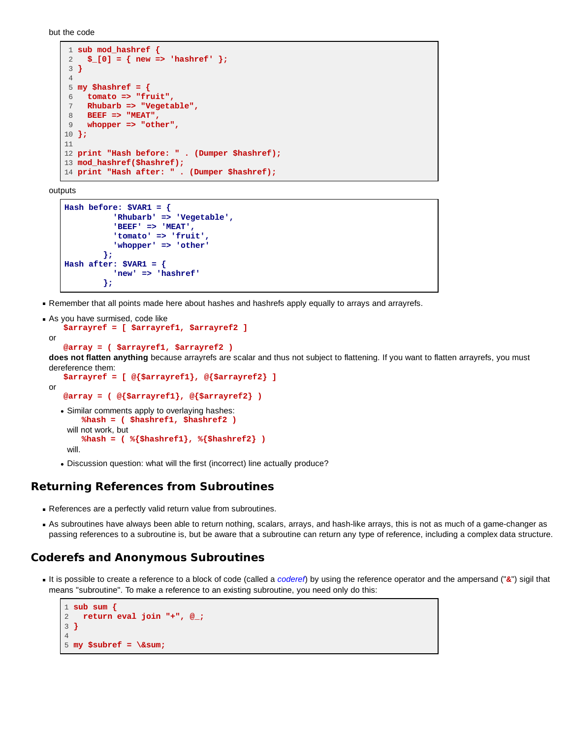but the code

```
 1 sub mod_hashref {
  2 $_[0] = { new => 'hashref' };
 3 }
 4
 5 my $hashref = {
 6 tomato => "fruit",
    7 Rhubarb => "Vegetable",
 8 BEEF => "MEAT",
 9 whopper => "other",
10 };
11
12 print "Hash before: " . (Dumper $hashref);
13 mod_hashref($hashref);
14 print "Hash after: " . (Dumper $hashref);
```
outputs

```
Hash before: $VAR1 = {
            'Rhubarb' => 'Vegetable',
            'BEEF' => 'MEAT',
            'tomato' => 'fruit',
            'whopper' => 'other'
         };
Hash after: $VAR1 = {
            'new' => 'hashref'
          };
```
Remember that all points made here about hashes and hashrefs apply equally to arrays and arrayrefs.

```
As you have surmised, code like
     $arrayref = [ $arrayref1, $arrayref2 ]
 or
     @array = ( $arrayref1, $arrayref2 )
```
**does not flatten anything** because arrayrefs are scalar and thus not subject to flattening. If you want to flatten arrayrefs, you must dereference them:

```
 $arrayref = [ @{$arrayref1}, @{$arrayref2} ]
or
    @array = ( @{$arrayref1}, @{$arrayref2} )
  Similar comments apply to overlaying hashes:
        %hash = ( $hashref1, $hashref2 )
    will not work, but
        %hash = ( %{$hashref1}, %{$hashref2} )
    will.
```
• Discussion question: what will the first (incorrect) line actually produce?

#### **Returning References from Subroutines**

- References are a perfectly valid return value from subroutines.
- As subroutines have always been able to return nothing, scalars, arrays, and hash-like arrays, this is not as much of a game-changer as passing references to a subroutine is, but be aware that a subroutine can return any type of reference, including a complex data structure.

#### **Coderefs and Anonymous Subroutines**

It is possible to create a reference to a block of code (called a *coderef*) by using the reference operator and the ampersand ("**&**") sigil that means "subroutine". To make a reference to an existing subroutine, you need only do this:

```
1 sub sum {
2 return eval join "+", @_;
3 }
4
5 my $subref = \∑
```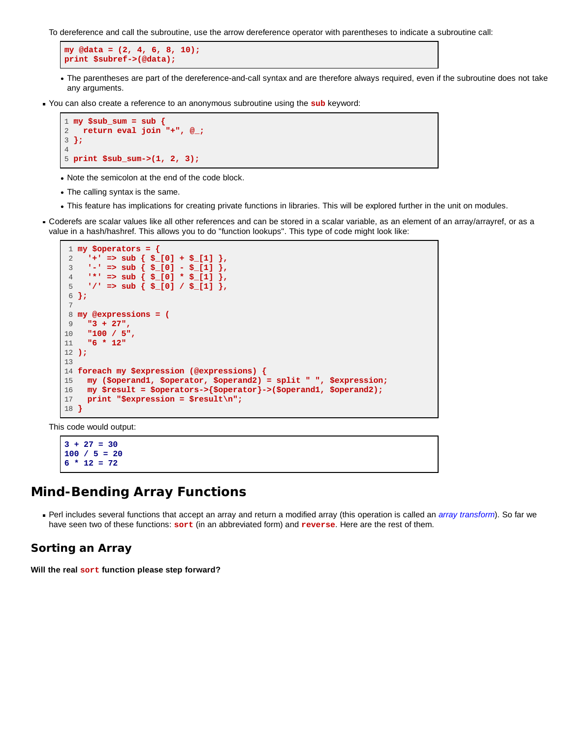To dereference and call the subroutine, use the arrow dereference operator with parentheses to indicate a subroutine call:

```
my @data = (2, 4, 6, 8, 10);
print $subref->(@data);
```
- The parentheses are part of the dereference-and-call syntax and are therefore always required, even if the subroutine does not take any arguments.
- You can also create a reference to an anonymous subroutine using the **sub** keyword:

```
1 my $sub_sum = sub {
2 return eval join "+", @_;
3 };
4
5 print $sub_sum->(1, 2, 3);
```
- Note the semicolon at the end of the code block.
- The calling syntax is the same.
- This feature has implications for creating private functions in libraries. This will be explored further in the unit on modules.
- Coderefs are scalar values like all other references and can be stored in a scalar variable, as an element of an array/arrayref, or as a value in a hash/hashref. This allows you to do "function lookups". This type of code might look like:

```
 1 my $operators = {
  2 '+' => sub { $_[0] + $_[1] },
  3 '-' => sub { $_[0] - $_[1] },
  4 '*' => sub { $_[0] * $_[1] },
  5 '/' => sub { $_[0] / $_[1] },
 6 };
 7
 8 my @expressions = (
 9 "3 + 27",
10 "100 / 5",
11 "6 * 12"
12 );
13
14 foreach my $expression (@expressions) {
15 my ($operand1, $operator, $operand2) = split " ", $expression;
16 my $result = $operators->{$operator}->($operand1, $operand2);
17 print "$expression = $result\n";
18 }
```
This code would output:

```
3 + 27 = 30
100 / 5 = 20
6 * 12 = 72
```
## **Mind-Bending Array Functions**

Perl includes several functions that accept an array and return a modified array (this operation is called an *array transform*). So far we have seen two of these functions: **sort** (in an abbreviated form) and **reverse**. Here are the rest of them.

#### **Sorting an Array**

**Will the real sort function please step forward?**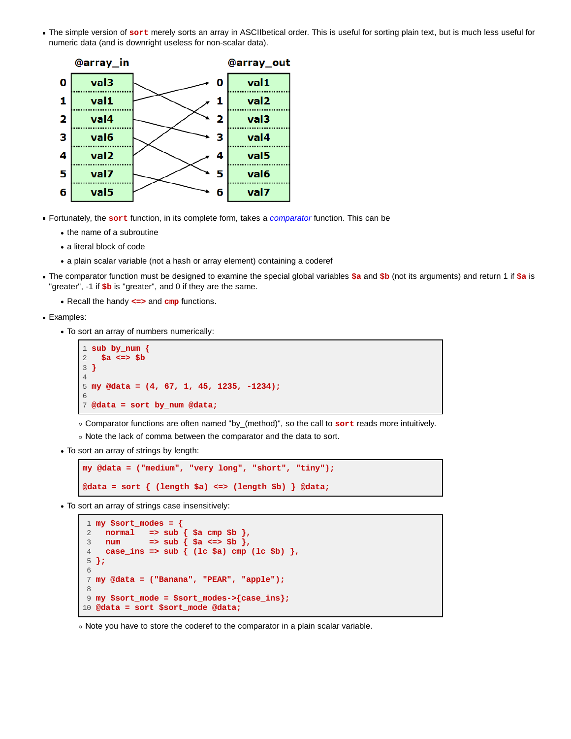The simple version of **sort** merely sorts an array in ASCIIbetical order. This is useful for sorting plain text, but is much less useful for numeric data (and is downright useless for non-scalar data).



- Fortunately, the **sort** function, in its complete form, takes a *comparator* function. This can be
	- the name of a subroutine
	- a literal block of code
	- a plain scalar variable (not a hash or array element) containing a coderef
- The comparator function must be designed to examine the special global variables **\$a** and **\$b** (not its arguments) and return 1 if **\$a** is "greater", -1 if **\$b** is "greater", and 0 if they are the same.
	- Recall the handy **<=>** and **cmp** functions.
- Examples:
	- To sort an array of numbers numerically:

```
1 sub by_num {
2 $a <=> $b
3 }
4
5 my @data = (4, 67, 1, 45, 1235, -1234);
6
7 @data = sort by_num @data;
```
Comparator functions are often named "by\_(method)", so the call to **sort** reads more intuitively.

- o Note the lack of comma between the comparator and the data to sort.
- To sort an array of strings by length:

```
my @data = ("medium", "very long", "short", "tiny");
@data = sort { (length $a) <=> (length $b) } @data;
```
To sort an array of strings case insensitively:

```
 1 my $sort_modes = {
 2 normal => sub { $a cmp $b },
 3 num => sub { $a <=> $b },
  4 case_ins => sub { (lc $a) cmp (lc $b) },
  5 };
 6
 7 my @data = ("Banana", "PEAR", "apple");
 8
 9 my $sort_mode = $sort_modes->{case_ins};
10 @data = sort $sort_mode @data;
```
o Note you have to store the coderef to the comparator in a plain scalar variable.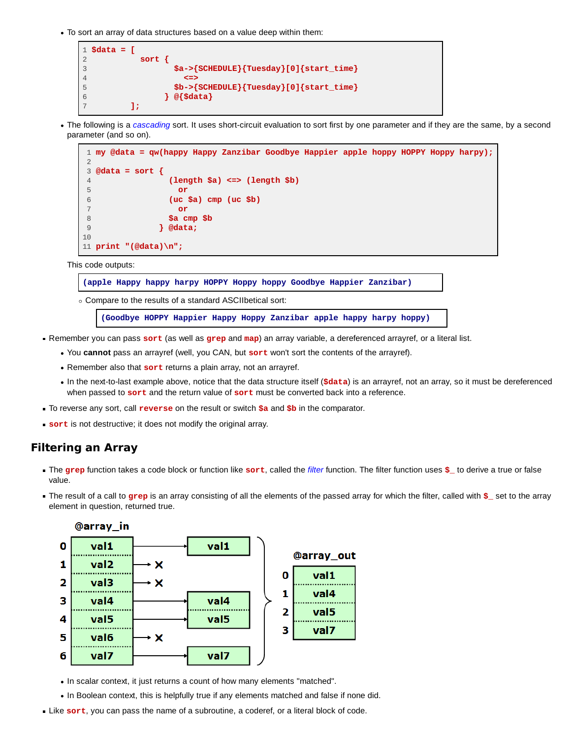To sort an array of data structures based on a value deep within them:

```
1 $data = [
2 sort {
3 $a->{SCHEDULE}{Tuesday}[0]{start_time}
4 <=>
5 $b->{SCHEDULE}{Tuesday}[0]{start_time}
6 } @{$data}
      7 ];
```
The following is a *cascading* sort. It uses short-circuit evaluation to sort first by one parameter and if they are the same, by a second parameter (and so on).



This code outputs:

**(apple Happy happy harpy HOPPY Hoppy hoppy Goodbye Happier Zanzibar)**

Compare to the results of a standard ASCIIbetical sort:

**(Goodbye HOPPY Happier Happy Hoppy Zanzibar apple happy harpy hoppy)**

- Remember you can pass **sort** (as well as **grep** and **map**) an array variable, a dereferenced arrayref, or a literal list.
	- You **cannot** pass an arrayref (well, you CAN, but **sort** won't sort the contents of the arrayref).
	- Remember also that **sort** returns a plain array, not an arrayref.
	- In the next-to-last example above, notice that the data structure itself (**\$data**) is an arrayref, not an array, so it must be dereferenced when passed to **sort** and the return value of **sort** must be converted back into a reference.
- To reverse any sort, call **reverse** on the result or switch **\$a** and **\$b** in the comparator.
- **sort** is not destructive; it does not modify the original array.

#### **Filtering an Array**

- The **grep** function takes a code block or function like **sort**, called the *filter* function. The filter function uses **\$\_** to derive a true or false value.
- The result of a call to grep is an array consisting of all the elements of the passed array for which the filter, called with **\$** set to the array element in question, returned true.



- In scalar context, it just returns a count of how many elements "matched".
- . In Boolean context, this is helpfully true if any elements matched and false if none did.
- Like **sort**, you can pass the name of a subroutine, a coderef, or a literal block of code.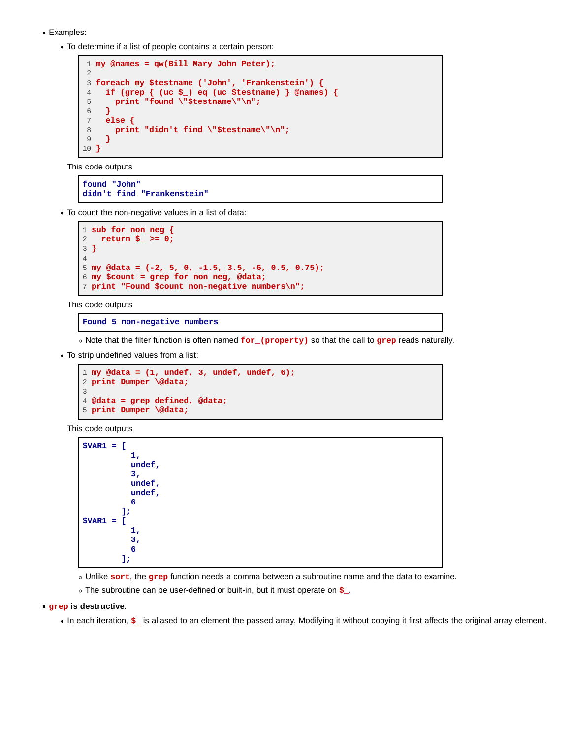- **Examples:** 
	- To determine if a list of people contains a certain person:

```
 1 my @names = qw(Bill Mary John Peter);
  2
 3 foreach my $testname ('John', 'Frankenstein') {
 4 if (grep { (uc $_) eq (uc $testname) } @names) {
 5 print "found \"$testname\"\n";
 6 }
 7 else {
8 print "didn't find \"$testname\"\n";<br>9 }
     9 }
10 }
```
This code outputs

**found "John" didn't find "Frankenstein"**

To count the non-negative values in a list of data:

```
1 sub for_non_neg {
2 return $_ >= 0;
3 }
4
5 my @data = (-2, 5, 0, -1.5, 3.5, -6, 0.5, 0.75);
6 my $count = grep for_non_neg, @data;
7 print "Found $count non-negative numbers\n";
```
This code outputs

#### **Found 5 non-negative numbers**

Note that the filter function is often named **for\_(property)** so that the call to **grep** reads naturally.

To strip undefined values from a list:

```
1 my @data = (1, undef, 3, undef, undef, 6);
2 print Dumper \@data;
3
4 @data = grep defined, @data;
5 print Dumper \@data;
```
This code outputs

```
$VAR1 = [
           1,
           undef,
           3,
           undef,
           undef,
6
         ];
$VAR1 = [
           1,
           3,
6 6
         ];
```
Unlike **sort**, the **grep** function needs a comma between a subroutine name and the data to examine.

The subroutine can be user-defined or built-in, but it must operate on **\$\_**.

#### **grep is destructive**.

• In each iteration,  $\sharp$  is aliased to an element the passed array. Modifying it without copying it first affects the original array element.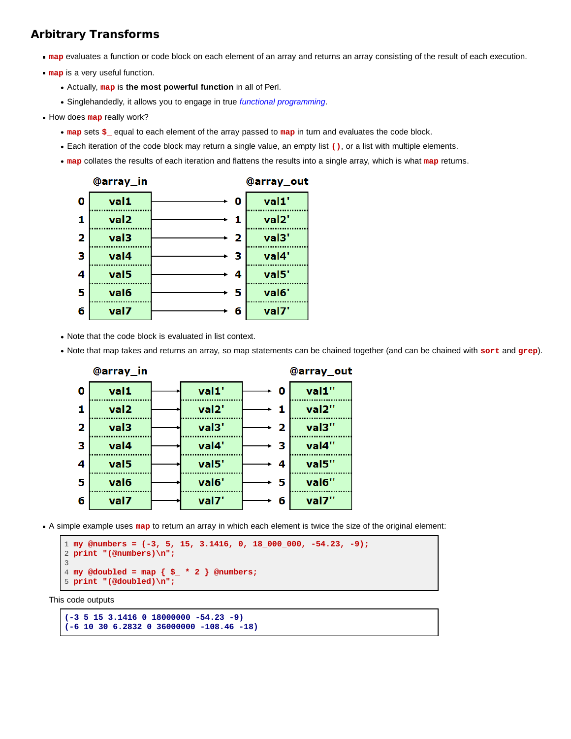## **Arbitrary Transforms**

- **map** evaluates a function or code block on each element of an array and returns an array consisting of the result of each execution.
- **map** is a very useful function.
	- Actually, **map** is **the most powerful function** in all of Perl.
	- Singlehandedly, it allows you to engage in true *functional programming*.
- How does **map** really work?
	- **map** sets **\$\_** equal to each element of the array passed to **map** in turn and evaluates the code block.
	- Each iteration of the code block may return a single value, an empty list **()**, or a list with multiple elements.
	- **map** collates the results of each iteration and flattens the results into a single array, which is what **map** returns.



- Note that the code block is evaluated in list context.
- Note that map takes and returns an array, so map statements can be chained together (and can be chained with **sort** and **grep**).



A simple example uses **map** to return an array in which each element is twice the size of the original element:

```
1 my @numbers = (-3, 5, 15, 3.1416, 0, 18_000_000, -54.23, -9);
2 print "(@numbers)\n";
3
4 my @doubled = map { $_ * 2 } @numbers;
5 print "(@doubled)\n";
```
This code outputs

```
(-3 5 15 3.1416 0 18000000 -54.23 -9)
(-6 10 30 6.2832 0 36000000 -108.46 -18)
```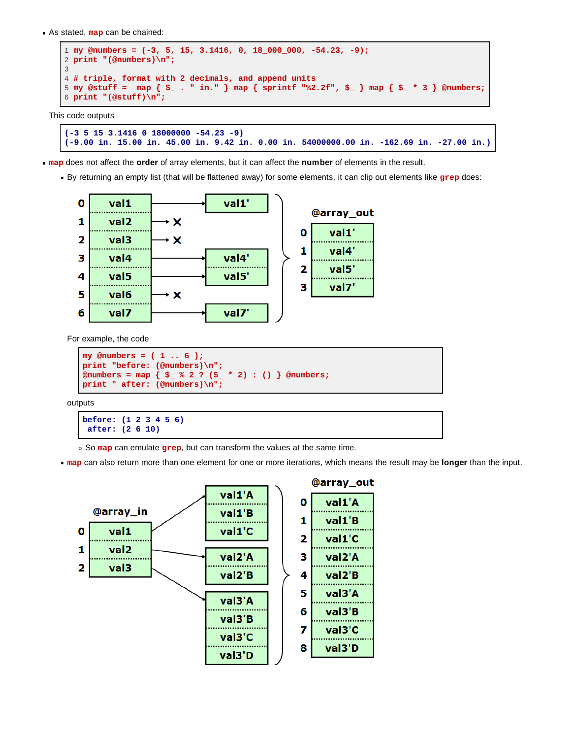As stated, **map** can be chained:

```
1 my @numbers = (-3, 5, 15, 3.1416, 0, 18_000_000, -54.23, -9);
2 print "(@numbers)\n";
3
4 # triple, format with 2 decimals, and append units
5 my @stuff = map { $_ . " in." } map { sprintf "%2.2f", $_ } map { $_ * 3 } @numbers;
6 print "(@stuff)\n";
```
This code outputs

```
(-3 5 15 3.1416 0 18000000 -54.23 -9)
(-9.00 in. 15.00 in. 45.00 in. 9.42 in. 0.00 in. 54000000.00 in. -162.69 in. -27.00 in.)
```
**map** does not affect the **order** of array elements, but it can affect the **number** of elements in the result.

By returning an empty list (that will be flattened away) for some elements, it can clip out elements like **grep** does:



For example, the code

```
my @numbers = ( 1 .. 6 );
print "before: (@numbers)\n";
@numbers = map { $_ % 2 ? ($_ * 2) : () } @numbers;
print " after: (@numbers)\n";
```
outputs

```
before: (1 2 3 4 5 6)
 after: (2 6 10)
```
So **map** can emulate **grep**, but can transform the values at the same time.

**map** can also return more than one element for one or more iterations, which means the result may be **longer** than the input.

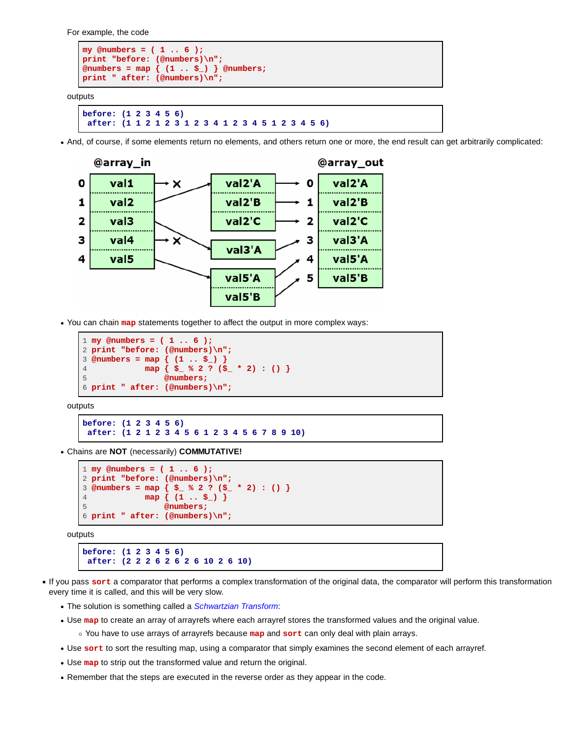For example, the code

```
my @numbers = ( 1 .. 6 );
print "before: (@numbers)\n";
@numbers = map { (1 .. $_) } @numbers;
print " after: (@numbers)\n";
```
outputs

```
before: (1 2 3 4 5 6)
  after: (1 1 2 1 2 3 1 2 3 4 1 2 3 4 5 1 2 3 4 5 6)
```
And, of course, if some elements return no elements, and others return one or more, the end result can get arbitrarily complicated:



You can chain **map** statements together to affect the output in more complex ways:

```
1 my @numbers = ( 1 .. 6 );
2 print "before: (@numbers)\n";
3 @numbers = map { (1 .. $_) }
4 map { $_ % 2 ? ($_ * 2) : () }
5 @numbers;
6 print " after: (@numbers)\n";
```
outputs

```
before: (1 2 3 4 5 6)
  after: (1 2 1 2 3 4 5 6 1 2 3 4 5 6 7 8 9 10)
```
Chains are **NOT** (necessarily) **COMMUTATIVE!**

```
1 my @numbers = ( 1 .. 6 );
2 print "before: (@numbers)\n";
3 @numbers = map { $_ % 2 ? ($_ * 2) : () }
4 map { (1 .. $_) }
5 @numbers;
6 print " after: (@numbers)\n";
```
outputs

```
before: (1 2 3 4 5 6)
  after: (2 2 2 6 2 6 2 6 10 2 6 10)
```
- If you pass sort a comparator that performs a complex transformation of the original data, the comparator will perform this transformation every time it is called, and this will be very slow.
	- The solution is something called a *Schwartzian Transform*:
	- Use **map** to create an array of arrayrefs where each arrayref stores the transformed values and the original value.

You have to use arrays of arrayrefs because **map** and **sort** can only deal with plain arrays.

- Use **sort** to sort the resulting map, using a comparator that simply examines the second element of each arrayref.
- Use **map** to strip out the transformed value and return the original.
- Remember that the steps are executed in the reverse order as they appear in the code.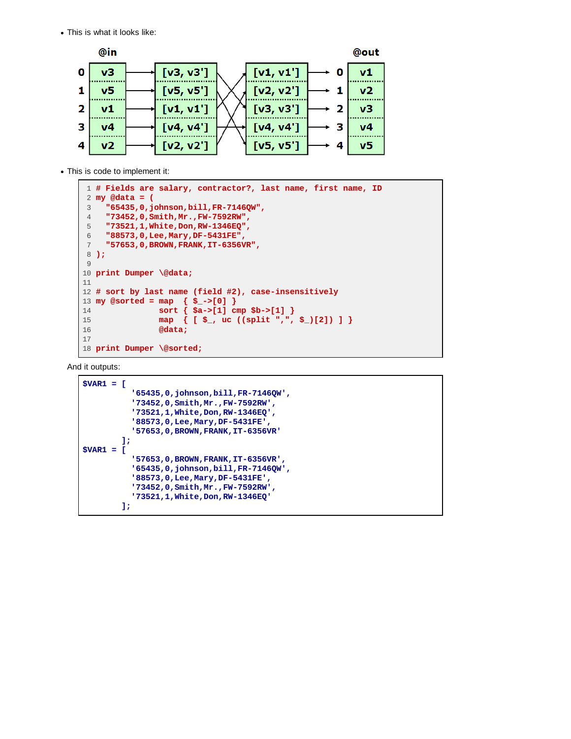This is what it looks like:



This is code to implement it:

```
 1 # Fields are salary, contractor?, last name, first name, ID
 2 my @data = (
 3 "65435,0,johnson,bill,FR-7146QW",
 4 "73452,0,Smith,Mr.,FW-7592RW",
 5 "73521,1,White,Don,RW-1346EQ",
 6 "88573,0,Lee,Mary,DF-5431FE",
 7 "57653,0,BROWN,FRANK,IT-6356VR",
 8 );
 9
10 print Dumper \@data;
11
12 # sort by last name (field #2), case-insensitively
13 my @sorted = map { $_->[0] }
14 sort { $a->[1] cmp $b->[1] }
15 map { [ $_, uc ((split ",", $_)[2]) ] }
16 @data;
17
18 print Dumper \@sorted;
```
And it outputs:

```
$VAR1 = [
           '65435,0,johnson,bill,FR-7146QW',
           '73452,0,Smith,Mr.,FW-7592RW',
           '73521,1,White,Don,RW-1346EQ',
           '88573,0,Lee,Mary,DF-5431FE',
           '57653,0,BROWN,FRANK,IT-6356VR'
         ];
$VAR1 = [
           '57653,0,BROWN,FRANK,IT-6356VR',
           '65435,0,johnson,bill,FR-7146QW',
           '88573,0,Lee,Mary,DF-5431FE',
           '73452,0,Smith,Mr.,FW-7592RW',
           '73521,1,White,Don,RW-1346EQ'
         ];
```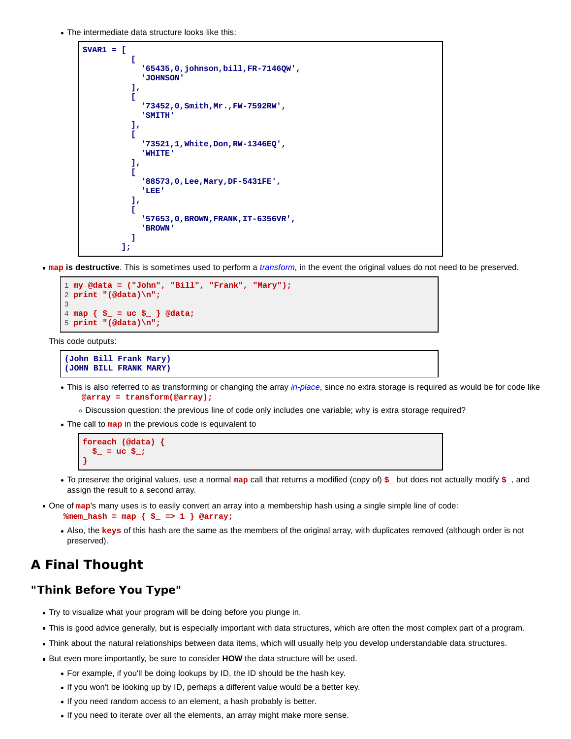The intermediate data structure looks like this:

```
$VAR1 = [
 [
            '65435,0,johnson,bill,FR-7146QW',
            'JOHNSON'
          ],
 [
            '73452,0,Smith,Mr.,FW-7592RW',
            'SMITH'
          ],
 [
            '73521,1,White,Don,RW-1346EQ',
            'WHITE'
          ],
 [
            '88573,0,Lee,Mary,DF-5431FE',
            'LEE'
          ],
 [
            '57653,0,BROWN,FRANK,IT-6356VR',
            'BROWN'
 ]
        ];
```
**map is destructive**. This is sometimes used to perform a *transform*, in the event the original values do not need to be preserved.

```
1 my @data = ("John", "Bill", "Frank", "Mary");
2 print "(@data)\n";
3
4 map { $_ = uc $_ } @data;
5 print "(@data)\n";
```
This code outputs:

```
(John Bill Frank Mary)
(JOHN BILL FRANK MARY)
```
- This is also referred to as transforming or changing the array *in-place*, since no extra storage is required as would be for code like  **@array = transform(@array);**
	- Discussion question: the previous line of code only includes one variable; why is extra storage required?
- The call to **map** in the previous code is equivalent to

```
foreach (@data) {
   \frac{1}{2} = uc \frac{1}{2};
}
```
- To preserve the original values, use a normal **map** call that returns a modified (copy of) **\$\_** but does not actually modify **\$\_**, and assign the result to a second array.
- One of **map**'s many uses is to easily convert an array into a membership hash using a single simple line of code:
	- **%mem\_hash = map { \$\_ => 1 } @array;**
	- Also, the **keys** of this hash are the same as the members of the original array, with duplicates removed (although order is not preserved).

## **A Final Thought**

#### **"Think Before You Type"**

- Try to visualize what your program will be doing before you plunge in.
- This is good advice generally, but is especially important with data structures, which are often the most complex part of a program.
- Think about the natural relationships between data items, which will usually help you develop understandable data structures.
- But even more importantly, be sure to consider **HOW** the data structure will be used.
	- For example, if you'll be doing lookups by ID, the ID should be the hash key.
	- If you won't be looking up by ID, perhaps a different value would be a better key.
	- If you need random access to an element, a hash probably is better.
	- If you need to iterate over all the elements, an array might make more sense.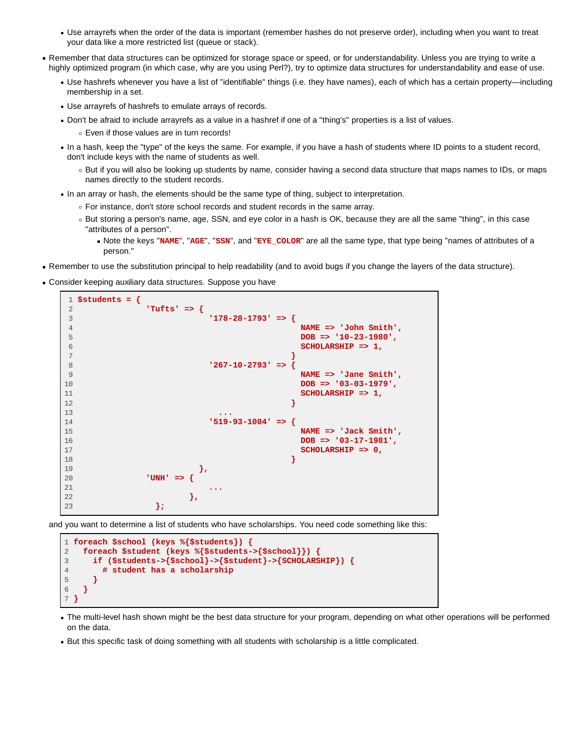- Use arrayrefs when the order of the data is important (remember hashes do not preserve order), including when you want to treat your data like a more restricted list (queue or stack).
- Remember that data structures can be optimized for storage space or speed, or for understandability. Unless you are trying to write a highly optimized program (in which case, why are you using Perl?), try to optimize data structures for understandability and ease of use.
	- Use hashrefs whenever you have a list of "identifiable" things (i.e. they have names), each of which has a certain property—including membership in a set.
	- Use arrayrefs of hashrefs to emulate arrays of records.
	- Don't be afraid to include arrayrefs as a value in a hashref if one of a "thing's" properties is a list of values. Even if those values are in turn records!
	- In a hash, keep the "type" of the keys the same. For example, if you have a hash of students where ID points to a student record, don't include keys with the name of students as well.
		- But if you will also be looking up students by name, consider having a second data structure that maps names to IDs, or maps names directly to the student records.
	- In an array or hash, the elements should be the same type of thing, subject to interpretation.
		- For instance, don't store school records and student records in the same array.
		- But storing a person's name, age, SSN, and eye color in a hash is OK, because they are all the same "thing", in this case "attributes of a person".
			- Note the keys "**NAME**", "**AGE**", "**SSN**", and "**EYE\_COLOR**" are all the same type, that type being "names of attributes of a person."
- Remember to use the substitution principal to help readability (and to avoid bugs if you change the layers of the data structure).
- Consider keeping auxiliary data structures. Suppose you have



and you want to determine a list of students who have scholarships. You need code something like this:

```
1 foreach $school (keys %{$students}) {
2 foreach $student (keys %{$students->{$school}}) {
3 if ($students->{$school}->{$student}->{SCHOLARSHIP}) {
4 # student has a scholarship
5 }
6 }
7 }
```
- The multi-level hash shown might be the best data structure for your program, depending on what other operations will be performed on the data.
- But this specific task of doing something with all students with scholarship is a little complicated.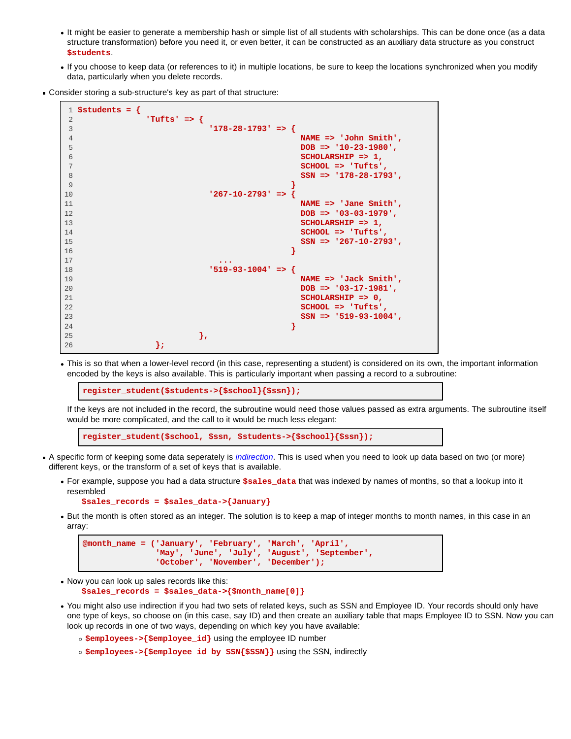- It might be easier to generate a membership hash or simple list of all students with scholarships. This can be done once (as a data structure transformation) before you need it, or even better, it can be constructed as an auxiliary data structure as you construct **\$students**.
- If you choose to keep data (or references to it) in multiple locations, be sure to keep the locations synchronized when you modify data, particularly when you delete records.
- Consider storing a sub-structure's key as part of that structure:

```
 1 $students = {
 2 'Tufts' => {
           3 '178-28-1793' => {
 4 NAME => 'John Smith',
 5 DOB => '10-23-1980',
 6 SCHOLARSHIP => 1,
 7 SCHOOL => 'Tufts',
 8 SSN => '178-28-1793',
 9 }
10 '267-10-2793' => {
11 NAME => 'Jane Smith',
12 DOB => '03-03-1979',
13 SCHOLARSHIP => 1,
14 SCHOOL => 'Tufts',
15 SSN => '267-10-2793',
16 }
17 ...
18 '519-93-1004' => {
                 19 NAME => 'Jack Smith',
20 DOB => '03-17-1981',
21 SCHOLARSHIP => 0,
22 SCHOOL => 'Tufts',
23 SSN => '519-93-1004',
24 }
25 },
26 };
```
This is so that when a lower-level record (in this case, representing a student) is considered on its own, the important information encoded by the keys is also available. This is particularly important when passing a record to a subroutine:

**register\_student(\$students->{\$school}{\$ssn});**

If the keys are not included in the record, the subroutine would need those values passed as extra arguments. The subroutine itself would be more complicated, and the call to it would be much less elegant:

**register\_student(\$school, \$ssn, \$students->{\$school}{\$ssn});**

- A specific form of keeping some data seperately is *indirection*. This is used when you need to look up data based on two (or more) different keys, or the transform of a set of keys that is available.
	- For example, suppose you had a data structure **\$sales\_data** that was indexed by names of months, so that a lookup into it resembled

```
 $sales_records = $sales_data->{January}
```
• But the month is often stored as an integer. The solution is to keep a map of integer months to month names, in this case in an array:

```
@month_name = ('January', 'February', 'March', 'April',
                'May', 'June', 'July', 'August', 'September',
                'October', 'November', 'December');
```
Now you can look up sales records like this:

```
 $sales_records = $sales_data->{$month_name[0]}
```
You might also use indirection if you had two sets of related keys, such as SSN and Employee ID. Your records should only have one type of keys, so choose on (in this case, say ID) and then create an auxiliary table that maps Employee ID to SSN. Now you can look up records in one of two ways, depending on which key you have available:

**\$employees->{\$employee\_id}** using the employee ID number

**\$employees->{\$employee\_id\_by\_SSN{\$SSN}}** using the SSN, indirectly